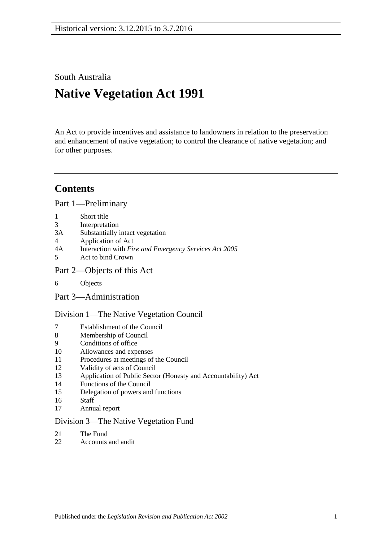South Australia

# **Native Vegetation Act 1991**

An Act to provide incentives and assistance to landowners in relation to the preservation and enhancement of native vegetation; to control the clearance of native vegetation; and for other purposes.

# **Contents**

[Part 1—Preliminary](#page-2-0)

- 1 [Short title](#page-2-1)
- 3 [Interpretation](#page-2-2)
- 3A [Substantially intact vegetation](#page-5-0)
- 4 [Application of Act](#page-5-1)
- 4A Interaction with *[Fire and Emergency Services Act](#page-7-0) 2005*
- 5 [Act to bind Crown](#page-7-1)
- [Part 2—Objects of this Act](#page-7-2)
- 6 [Objects](#page-7-3)
- [Part 3—Administration](#page-7-4)

[Division 1—The Native Vegetation Council](#page-7-5)

- 7 [Establishment of the Council](#page-7-6)
- 8 [Membership of Council](#page-8-0)
- 9 [Conditions of office](#page-8-1)
- 10 [Allowances and expenses](#page-9-0)
- 11 [Procedures at meetings of the Council](#page-9-1)
- 12 [Validity of acts of Council](#page-9-2)
- 13 [Application of Public Sector \(Honesty and Accountability\) Act](#page-9-3)
- 14 [Functions of the Council](#page-10-0)
- 15 [Delegation of powers and functions](#page-11-0)
- 16 [Staff](#page-12-0)
- 17 [Annual report](#page-12-1)

#### [Division 3—The Native Vegetation Fund](#page-12-2)

- 21 [The Fund](#page-12-3)
- 22 [Accounts and audit](#page-14-0)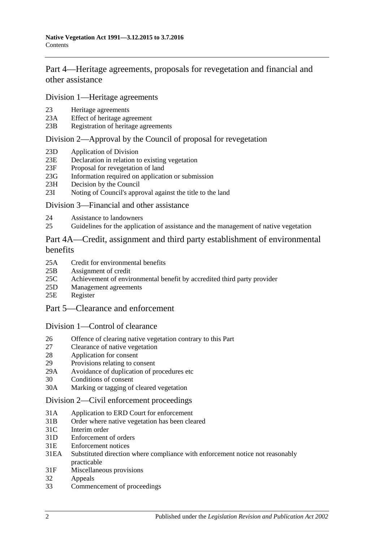[Part 4—Heritage agreements, proposals for revegetation and financial and](#page-14-1)  [other assistance](#page-14-1)

[Division 1—Heritage agreements](#page-14-2)

- 23 [Heritage agreements](#page-14-3)
- 23A [Effect of heritage agreement](#page-15-0)<br>23B Registration of heritage agree
- [Registration of heritage agreements](#page-15-1)

#### [Division 2—Approval by the Council of proposal for revegetation](#page-16-0)

- 23D [Application of Division](#page-16-1)
- 23E [Declaration in relation to existing vegetation](#page-16-2)
- 23F [Proposal for revegetation of land](#page-16-3)
- 23G [Information required on application or submission](#page-16-4)
- 23H [Decision by the Council](#page-16-5)
- 23I [Noting of Council's approval against the title to the land](#page-17-0)

#### [Division 3—Financial and other assistance](#page-17-1)

- 24 [Assistance to landowners](#page-17-2)
- 25 [Guidelines for the application of assistance and the management of native vegetation](#page-18-0)

## [Part 4A—Credit, assignment and third party establishment of environmental](#page-19-0)  [benefits](#page-19-0)

- 25A [Credit for environmental benefits](#page-19-1)
- 25B [Assignment of credit](#page-20-0)
- 25C [Achievement of environmental benefit by accredited third party provider](#page-21-0)
- 25D [Management agreements](#page-22-0)
- 25E [Register](#page-23-0)
- [Part 5—Clearance and enforcement](#page-23-1)

#### [Division 1—Control of clearance](#page-23-2)

- 26 [Offence of clearing native vegetation contrary to this Part](#page-23-3)
- 27 [Clearance of native vegetation](#page-25-0)
- 28 [Application for consent](#page-26-0)
- 29 [Provisions relating to consent](#page-28-0)
- 29A [Avoidance of duplication of procedures etc](#page-32-0)
- 30 [Conditions of consent](#page-33-0)
- 30A [Marking or tagging of cleared vegetation](#page-34-0)

#### [Division 2—Civil enforcement proceedings](#page-34-1)

- 31A [Application to ERD Court for enforcement](#page-34-2)
- 31B [Order where native vegetation has been cleared](#page-36-0)
- 31C [Interim order](#page-38-0)
- 31D [Enforcement of orders](#page-38-1)
- 31E [Enforcement notices](#page-38-2)
- 31EA [Substituted direction where compliance with enforcement](#page-39-0) notice not reasonably [practicable](#page-39-0)
- 31F [Miscellaneous provisions](#page-40-0)
- 32 [Appeals](#page-41-0)
- 33 [Commencement of proceedings](#page-41-1)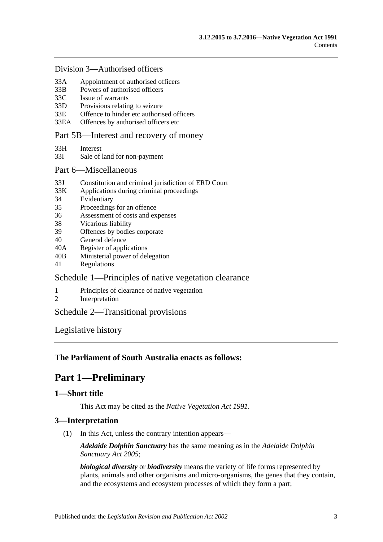#### [Division 3—Authorised officers](#page-41-2)

- 33A [Appointment of authorised officers](#page-41-3)
- 33B [Powers of authorised officers](#page-42-0)
- 33C [Issue of warrants](#page-44-0)
- 33D [Provisions relating to seizure](#page-45-0)
- 33E [Offence to hinder etc authorised officers](#page-46-0)
- 33EA [Offences by authorised officers etc](#page-47-0)

#### [Part 5B—Interest and recovery of money](#page-47-1)

- 33H [Interest](#page-47-2)
- 33I [Sale of land for non-payment](#page-47-3)

#### [Part 6—Miscellaneous](#page-49-0)

- 33J [Constitution and criminal jurisdiction of ERD Court](#page-49-1)
- 33K [Applications during criminal proceedings](#page-49-2)
- 34 [Evidentiary](#page-50-0)
- 35 [Proceedings for an offence](#page-51-0)
- 36 [Assessment of costs and expenses](#page-51-1)
- 38 [Vicarious liability](#page-51-2)
- 39 [Offences by bodies corporate](#page-51-3)
- 40 [General defence](#page-51-4)
- 40A [Register of applications](#page-51-5)
- 40B [Ministerial power of delegation](#page-52-0)
- 41 [Regulations](#page-52-1)

## [Schedule 1—Principles of native vegetation clearance](#page-53-0)

- 1 [Principles of clearance of native vegetation](#page-53-1)
- 2 [Interpretation](#page-54-0)

## [Schedule 2—Transitional provisions](#page-54-1)

[Legislative history](#page-56-0)

## <span id="page-2-0"></span>**The Parliament of South Australia enacts as follows:**

# **Part 1—Preliminary**

## <span id="page-2-1"></span>**1—Short title**

This Act may be cited as the *Native Vegetation Act 1991*.

## <span id="page-2-2"></span>**3—Interpretation**

(1) In this Act, unless the contrary intention appears—

*Adelaide Dolphin Sanctuary* has the same meaning as in the *[Adelaide Dolphin](http://www.legislation.sa.gov.au/index.aspx?action=legref&type=act&legtitle=Adelaide%20Dolphin%20Sanctuary%20Act%202005)  [Sanctuary Act](http://www.legislation.sa.gov.au/index.aspx?action=legref&type=act&legtitle=Adelaide%20Dolphin%20Sanctuary%20Act%202005) 2005*;

*biological diversity* or *biodiversity* means the variety of life forms represented by plants, animals and other organisms and micro-organisms, the genes that they contain, and the ecosystems and ecosystem processes of which they form a part;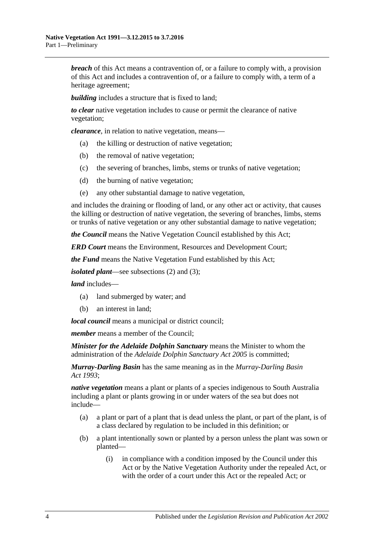*breach* of this Act means a contravention of, or a failure to comply with, a provision of this Act and includes a contravention of, or a failure to comply with, a term of a heritage agreement;

*building* includes a structure that is fixed to land:

*to clear* native vegetation includes to cause or permit the clearance of native vegetation;

*clearance*, in relation to native vegetation, means—

- (a) the killing or destruction of native vegetation;
- (b) the removal of native vegetation;
- (c) the severing of branches, limbs, stems or trunks of native vegetation;
- (d) the burning of native vegetation;
- (e) any other substantial damage to native vegetation,

and includes the draining or flooding of land, or any other act or activity, that causes the killing or destruction of native vegetation, the severing of branches, limbs, stems or trunks of native vegetation or any other substantial damage to native vegetation;

*the Council* means the Native Vegetation Council established by this Act;

*ERD Court* means the Environment, Resources and Development Court;

*the Fund* means the Native Vegetation Fund established by this Act;

*isolated plant*—see [subsections](#page-4-0) (2) and [\(3\);](#page-5-2)

*land* includes—

- (a) land submerged by water; and
- (b) an interest in land;

*local council* means a municipal or district council;

*member* means a member of the Council;

*Minister for the Adelaide Dolphin Sanctuary* means the Minister to whom the administration of the *[Adelaide Dolphin Sanctuary Act](http://www.legislation.sa.gov.au/index.aspx?action=legref&type=act&legtitle=Adelaide%20Dolphin%20Sanctuary%20Act%202005) 2005* is committed;

*Murray-Darling Basin* has the same meaning as in the *[Murray-Darling Basin](http://www.legislation.sa.gov.au/index.aspx?action=legref&type=act&legtitle=Murray-Darling%20Basin%20Act%201993)  Act [1993](http://www.legislation.sa.gov.au/index.aspx?action=legref&type=act&legtitle=Murray-Darling%20Basin%20Act%201993)*;

*native vegetation* means a plant or plants of a species indigenous to South Australia including a plant or plants growing in or under waters of the sea but does not include—

- (a) a plant or part of a plant that is dead unless the plant, or part of the plant, is of a class declared by regulation to be included in this definition; or
- (b) a plant intentionally sown or planted by a person unless the plant was sown or planted—
	- (i) in compliance with a condition imposed by the Council under this Act or by the Native Vegetation Authority under the repealed Act, or with the order of a court under this Act or the repealed Act; or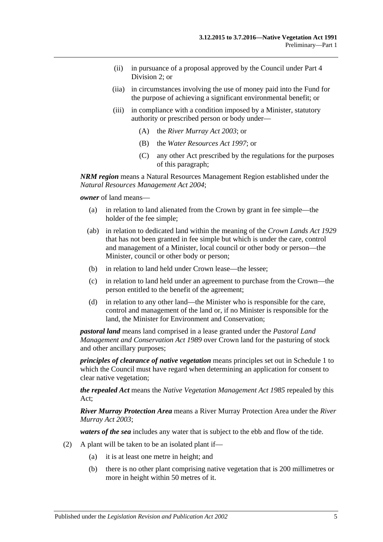- (ii) in pursuance of a proposal approved by the Council under [Part 4](#page-16-0)  [Division 2;](#page-16-0) or
- (iia) in circumstances involving the use of money paid into the Fund for the purpose of achieving a significant environmental benefit; or
- (iii) in compliance with a condition imposed by a Minister, statutory authority or prescribed person or body under—
	- (A) the *[River Murray Act](http://www.legislation.sa.gov.au/index.aspx?action=legref&type=act&legtitle=River%20Murray%20Act%202003) 2003*; or
	- (B) the *[Water Resources Act](http://www.legislation.sa.gov.au/index.aspx?action=legref&type=act&legtitle=Water%20Resources%20Act%201997) 1997*; or
	- (C) any other Act prescribed by the regulations for the purposes of this paragraph;

*NRM region* means a Natural Resources Management Region established under the *[Natural Resources Management Act](http://www.legislation.sa.gov.au/index.aspx?action=legref&type=act&legtitle=Natural%20Resources%20Management%20Act%202004) 2004*;

*owner* of land means—

- (a) in relation to land alienated from the Crown by grant in fee simple—the holder of the fee simple;
- (ab) in relation to dedicated land within the meaning of the *[Crown Lands Act](http://www.legislation.sa.gov.au/index.aspx?action=legref&type=act&legtitle=Crown%20Lands%20Act%201929) 1929* that has not been granted in fee simple but which is under the care, control and management of a Minister, local council or other body or person—the Minister, council or other body or person;
- (b) in relation to land held under Crown lease—the lessee;
- (c) in relation to land held under an agreement to purchase from the Crown—the person entitled to the benefit of the agreement;
- (d) in relation to any other land—the Minister who is responsible for the care, control and management of the land or, if no Minister is responsible for the land, the Minister for Environment and Conservation;

*pastoral land* means land comprised in a lease granted under the *[Pastoral Land](http://www.legislation.sa.gov.au/index.aspx?action=legref&type=act&legtitle=Pastoral%20Land%20Management%20and%20Conservation%20Act%201989)  [Management and Conservation Act](http://www.legislation.sa.gov.au/index.aspx?action=legref&type=act&legtitle=Pastoral%20Land%20Management%20and%20Conservation%20Act%201989) 1989* over Crown land for the pasturing of stock and other ancillary purposes;

*principles of clearance of native vegetation* means principles set out in [Schedule 1](#page-53-0) to which the Council must have regard when determining an application for consent to clear native vegetation;

*the repealed Act* means the *[Native Vegetation Management Act](http://www.legislation.sa.gov.au/index.aspx?action=legref&type=act&legtitle=Native%20Vegetation%20Management%20Act%201985) 1985* repealed by this Act;

*River Murray Protection Area* means a River Murray Protection Area under the *[River](http://www.legislation.sa.gov.au/index.aspx?action=legref&type=act&legtitle=River%20Murray%20Act%202003)  [Murray Act](http://www.legislation.sa.gov.au/index.aspx?action=legref&type=act&legtitle=River%20Murray%20Act%202003) 2003*;

*waters of the sea* includes any water that is subject to the ebb and flow of the tide.

- <span id="page-4-0"></span>(2) A plant will be taken to be an isolated plant if—
	- (a) it is at least one metre in height; and
	- (b) there is no other plant comprising native vegetation that is 200 millimetres or more in height within 50 metres of it.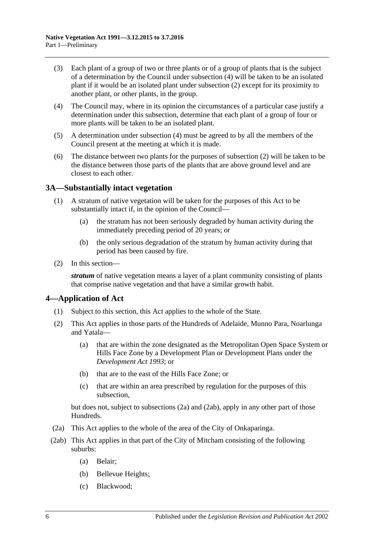- <span id="page-5-2"></span>(3) Each plant of a group of two or three plants or of a group of plants that is the subject of a determination by the Council under [subsection](#page-5-3) (4) will be taken to be an isolated plant if it would be an isolated plant under [subsection](#page-4-0) (2) except for its proximity to another plant, or other plants, in the group.
- <span id="page-5-3"></span>(4) The Council may, where in its opinion the circumstances of a particular case justify a determination under this subsection, determine that each plant of a group of four or more plants will be taken to be an isolated plant.
- (5) A determination under [subsection](#page-5-3) (4) must be agreed to by all the members of the Council present at the meeting at which it is made.
- (6) The distance between two plants for the purposes of [subsection](#page-4-0) (2) will be taken to be the distance between those parts of the plants that are above ground level and are closest to each other.

## <span id="page-5-0"></span>**3A—Substantially intact vegetation**

- (1) A stratum of native vegetation will be taken for the purposes of this Act to be substantially intact if, in the opinion of the Council—
	- (a) the stratum has not been seriously degraded by human activity during the immediately preceding period of 20 years; or
	- (b) the only serious degradation of the stratum by human activity during that period has been caused by fire.
- (2) In this section—

*stratum* of native vegetation means a layer of a plant community consisting of plants that comprise native vegetation and that have a similar growth habit.

## <span id="page-5-1"></span>**4—Application of Act**

- (1) Subject to this section, this Act applies to the whole of the State.
- <span id="page-5-6"></span>(2) This Act applies in those parts of the Hundreds of Adelaide, Munno Para, Noarlunga and Yatala—
	- (a) that are within the zone designated as the Metropolitan Open Space System or Hills Face Zone by a Development Plan or Development Plans under the *[Development Act](http://www.legislation.sa.gov.au/index.aspx?action=legref&type=act&legtitle=Development%20Act%201993) 1993*; or
	- (b) that are to the east of the Hills Face Zone; or
	- (c) that are within an area prescribed by regulation for the purposes of this subsection,

but does not, subject to [subsections](#page-5-4) (2a) and [\(2ab\),](#page-5-5) apply in any other part of those Hundreds.

- <span id="page-5-4"></span>(2a) This Act applies to the whole of the area of the City of Onkaparinga.
- <span id="page-5-5"></span>(2ab) This Act applies in that part of the City of Mitcham consisting of the following suburbs:
	- (a) Belair;
	- (b) Bellevue Heights;
	- (c) Blackwood;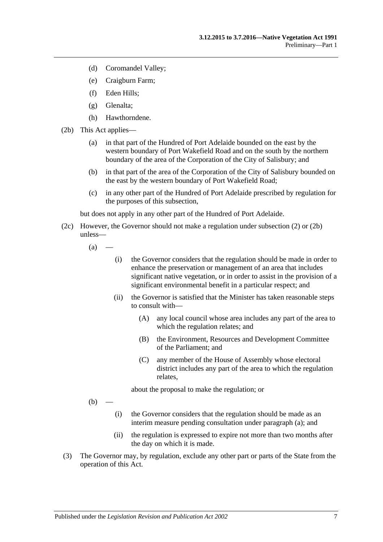- (d) Coromandel Valley;
- (e) Craigburn Farm;
- (f) Eden Hills;
- (g) Glenalta;
- (h) Hawthorndene.
- <span id="page-6-0"></span>(2b) This Act applies—
	- (a) in that part of the Hundred of Port Adelaide bounded on the east by the western boundary of Port Wakefield Road and on the south by the northern boundary of the area of the Corporation of the City of Salisbury; and
	- (b) in that part of the area of the Corporation of the City of Salisbury bounded on the east by the western boundary of Port Wakefield Road;
	- (c) in any other part of the Hundred of Port Adelaide prescribed by regulation for the purposes of this subsection,

but does not apply in any other part of the Hundred of Port Adelaide.

- <span id="page-6-1"></span>(2c) However, the Governor should not make a regulation under [subsection](#page-5-6) (2) or [\(2b\)](#page-6-0) unless—
	- $(a)$
- (i) the Governor considers that the regulation should be made in order to enhance the preservation or management of an area that includes significant native vegetation, or in order to assist in the provision of a significant environmental benefit in a particular respect; and
- (ii) the Governor is satisfied that the Minister has taken reasonable steps to consult with—
	- (A) any local council whose area includes any part of the area to which the regulation relates; and
	- (B) the Environment, Resources and Development Committee of the Parliament; and
	- (C) any member of the House of Assembly whose electoral district includes any part of the area to which the regulation relates,

about the proposal to make the regulation; or

 $(b)$ 

- (i) the Governor considers that the regulation should be made as an interim measure pending consultation under [paragraph](#page-6-1) (a); and
- (ii) the regulation is expressed to expire not more than two months after the day on which it is made.
- (3) The Governor may, by regulation, exclude any other part or parts of the State from the operation of this Act.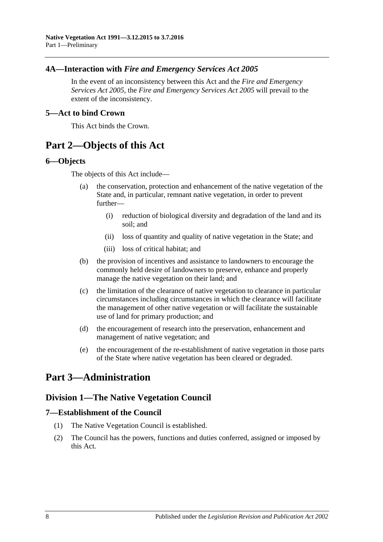## <span id="page-7-0"></span>**4A—Interaction with** *Fire and Emergency Services Act 2005*

In the event of an inconsistency between this Act and the *[Fire and Emergency](http://www.legislation.sa.gov.au/index.aspx?action=legref&type=act&legtitle=Fire%20and%20Emergency%20Services%20Act%202005)  [Services Act](http://www.legislation.sa.gov.au/index.aspx?action=legref&type=act&legtitle=Fire%20and%20Emergency%20Services%20Act%202005) 2005*, the *[Fire and Emergency Services Act](http://www.legislation.sa.gov.au/index.aspx?action=legref&type=act&legtitle=Fire%20and%20Emergency%20Services%20Act%202005) 2005* will prevail to the extent of the inconsistency.

#### <span id="page-7-1"></span>**5—Act to bind Crown**

This Act binds the Crown.

# <span id="page-7-2"></span>**Part 2—Objects of this Act**

#### <span id="page-7-3"></span>**6—Objects**

The objects of this Act include—

- (a) the conservation, protection and enhancement of the native vegetation of the State and, in particular, remnant native vegetation, in order to prevent further—
	- (i) reduction of biological diversity and degradation of the land and its soil; and
	- (ii) loss of quantity and quality of native vegetation in the State; and
	- (iii) loss of critical habitat; and
- (b) the provision of incentives and assistance to landowners to encourage the commonly held desire of landowners to preserve, enhance and properly manage the native vegetation on their land; and
- (c) the limitation of the clearance of native vegetation to clearance in particular circumstances including circumstances in which the clearance will facilitate the management of other native vegetation or will facilitate the sustainable use of land for primary production; and
- (d) the encouragement of research into the preservation, enhancement and management of native vegetation; and
- (e) the encouragement of the re-establishment of native vegetation in those parts of the State where native vegetation has been cleared or degraded.

# <span id="page-7-5"></span><span id="page-7-4"></span>**Part 3—Administration**

# **Division 1—The Native Vegetation Council**

## <span id="page-7-6"></span>**7—Establishment of the Council**

- (1) The Native Vegetation Council is established.
- (2) The Council has the powers, functions and duties conferred, assigned or imposed by this Act.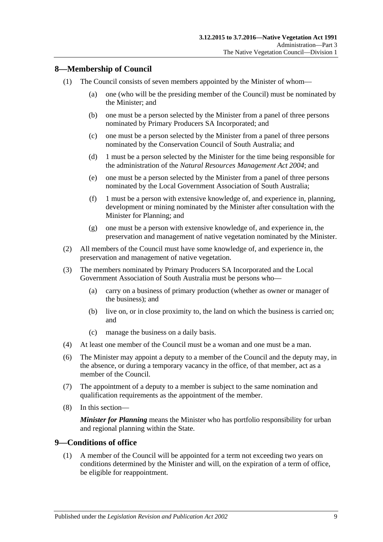## <span id="page-8-0"></span>**8—Membership of Council**

- (1) The Council consists of seven members appointed by the Minister of whom—
	- (a) one (who will be the presiding member of the Council) must be nominated by the Minister; and
	- (b) one must be a person selected by the Minister from a panel of three persons nominated by Primary Producers SA Incorporated; and
	- (c) one must be a person selected by the Minister from a panel of three persons nominated by the Conservation Council of South Australia; and
	- (d) 1 must be a person selected by the Minister for the time being responsible for the administration of the *[Natural Resources Management Act](http://www.legislation.sa.gov.au/index.aspx?action=legref&type=act&legtitle=Natural%20Resources%20Management%20Act%202004) 2004*; and
	- (e) one must be a person selected by the Minister from a panel of three persons nominated by the Local Government Association of South Australia;
	- (f) 1 must be a person with extensive knowledge of, and experience in, planning, development or mining nominated by the Minister after consultation with the Minister for Planning; and
	- (g) one must be a person with extensive knowledge of, and experience in, the preservation and management of native vegetation nominated by the Minister.
- (2) All members of the Council must have some knowledge of, and experience in, the preservation and management of native vegetation.
- (3) The members nominated by Primary Producers SA Incorporated and the Local Government Association of South Australia must be persons who—
	- (a) carry on a business of primary production (whether as owner or manager of the business); and
	- (b) live on, or in close proximity to, the land on which the business is carried on; and
	- (c) manage the business on a daily basis.
- (4) At least one member of the Council must be a woman and one must be a man.
- (6) The Minister may appoint a deputy to a member of the Council and the deputy may, in the absence, or during a temporary vacancy in the office, of that member, act as a member of the Council.
- (7) The appointment of a deputy to a member is subject to the same nomination and qualification requirements as the appointment of the member.
- (8) In this section—

*Minister for Planning* means the Minister who has portfolio responsibility for urban and regional planning within the State.

## <span id="page-8-1"></span>**9—Conditions of office**

(1) A member of the Council will be appointed for a term not exceeding two years on conditions determined by the Minister and will, on the expiration of a term of office, be eligible for reappointment.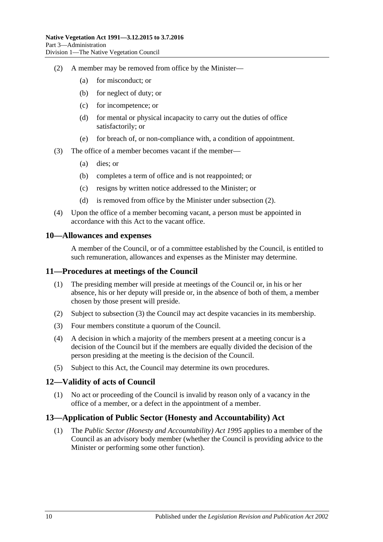- <span id="page-9-4"></span>(2) A member may be removed from office by the Minister—
	- (a) for misconduct; or
	- (b) for neglect of duty; or
	- (c) for incompetence; or
	- (d) for mental or physical incapacity to carry out the duties of office satisfactorily; or
	- (e) for breach of, or non-compliance with, a condition of appointment.
- (3) The office of a member becomes vacant if the member—
	- (a) dies; or
	- (b) completes a term of office and is not reappointed; or
	- (c) resigns by written notice addressed to the Minister; or
	- (d) is removed from office by the Minister under [subsection](#page-9-4) (2).
- (4) Upon the office of a member becoming vacant, a person must be appointed in accordance with this Act to the vacant office.

#### <span id="page-9-0"></span>**10—Allowances and expenses**

A member of the Council, or of a committee established by the Council, is entitled to such remuneration, allowances and expenses as the Minister may determine.

#### <span id="page-9-1"></span>**11—Procedures at meetings of the Council**

- (1) The presiding member will preside at meetings of the Council or, in his or her absence, his or her deputy will preside or, in the absence of both of them, a member chosen by those present will preside.
- (2) Subject to [subsection](#page-9-5) (3) the Council may act despite vacancies in its membership.
- <span id="page-9-5"></span>(3) Four members constitute a quorum of the Council.
- (4) A decision in which a majority of the members present at a meeting concur is a decision of the Council but if the members are equally divided the decision of the person presiding at the meeting is the decision of the Council.
- (5) Subject to this Act, the Council may determine its own procedures.

#### <span id="page-9-2"></span>**12—Validity of acts of Council**

(1) No act or proceeding of the Council is invalid by reason only of a vacancy in the office of a member, or a defect in the appointment of a member.

## <span id="page-9-3"></span>**13—Application of Public Sector (Honesty and Accountability) Act**

(1) The *[Public Sector \(Honesty and Accountability\) Act](http://www.legislation.sa.gov.au/index.aspx?action=legref&type=act&legtitle=Public%20Sector%20(Honesty%20and%20Accountability)%20Act%201995) 1995* applies to a member of the Council as an advisory body member (whether the Council is providing advice to the Minister or performing some other function).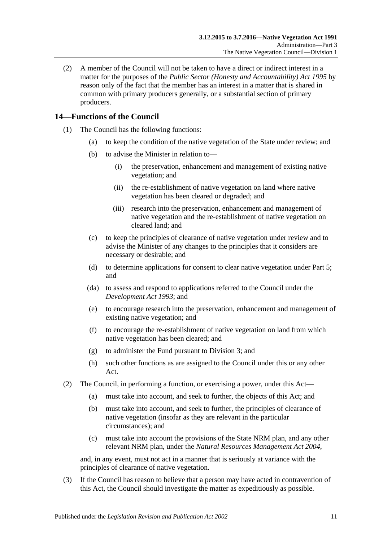(2) A member of the Council will not be taken to have a direct or indirect interest in a matter for the purposes of the *[Public Sector \(Honesty and Accountability\) Act](http://www.legislation.sa.gov.au/index.aspx?action=legref&type=act&legtitle=Public%20Sector%20(Honesty%20and%20Accountability)%20Act%201995) 1995* by reason only of the fact that the member has an interest in a matter that is shared in common with primary producers generally, or a substantial section of primary producers.

## <span id="page-10-0"></span>**14—Functions of the Council**

- (1) The Council has the following functions:
	- (a) to keep the condition of the native vegetation of the State under review; and
	- (b) to advise the Minister in relation to—
		- (i) the preservation, enhancement and management of existing native vegetation; and
		- (ii) the re-establishment of native vegetation on land where native vegetation has been cleared or degraded; and
		- (iii) research into the preservation, enhancement and management of native vegetation and the re-establishment of native vegetation on cleared land; and
	- (c) to keep the principles of clearance of native vegetation under review and to advise the Minister of any changes to the principles that it considers are necessary or desirable; and
	- (d) to determine applications for consent to clear native vegetation under [Part 5;](#page-23-1) and
	- (da) to assess and respond to applications referred to the Council under the *[Development Act](http://www.legislation.sa.gov.au/index.aspx?action=legref&type=act&legtitle=Development%20Act%201993) 1993*; and
	- (e) to encourage research into the preservation, enhancement and management of existing native vegetation; and
	- (f) to encourage the re-establishment of native vegetation on land from which native vegetation has been cleared; and
	- (g) to administer the Fund pursuant to [Division 3;](#page-12-2) and
	- (h) such other functions as are assigned to the Council under this or any other Act.
- (2) The Council, in performing a function, or exercising a power, under this Act—
	- (a) must take into account, and seek to further, the objects of this Act; and
	- (b) must take into account, and seek to further, the principles of clearance of native vegetation (insofar as they are relevant in the particular circumstances); and
	- (c) must take into account the provisions of the State NRM plan, and any other relevant NRM plan, under the *[Natural Resources Management Act](http://www.legislation.sa.gov.au/index.aspx?action=legref&type=act&legtitle=Natural%20Resources%20Management%20Act%202004) 2004*,

and, in any event, must not act in a manner that is seriously at variance with the principles of clearance of native vegetation.

(3) If the Council has reason to believe that a person may have acted in contravention of this Act, the Council should investigate the matter as expeditiously as possible.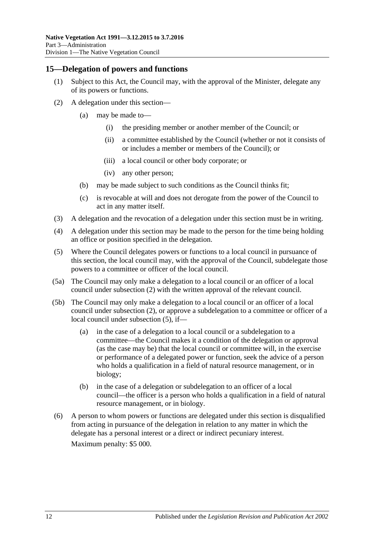#### <span id="page-11-0"></span>**15—Delegation of powers and functions**

- (1) Subject to this Act, the Council may, with the approval of the Minister, delegate any of its powers or functions.
- <span id="page-11-1"></span>(2) A delegation under this section—
	- (a) may be made to—
		- (i) the presiding member or another member of the Council; or
		- (ii) a committee established by the Council (whether or not it consists of or includes a member or members of the Council); or
		- (iii) a local council or other body corporate; or
		- (iv) any other person;
	- (b) may be made subject to such conditions as the Council thinks fit;
	- (c) is revocable at will and does not derogate from the power of the Council to act in any matter itself.
- (3) A delegation and the revocation of a delegation under this section must be in writing.
- (4) A delegation under this section may be made to the person for the time being holding an office or position specified in the delegation.
- <span id="page-11-2"></span>(5) Where the Council delegates powers or functions to a local council in pursuance of this section, the local council may, with the approval of the Council, subdelegate those powers to a committee or officer of the local council.
- (5a) The Council may only make a delegation to a local council or an officer of a local council under [subsection](#page-11-1) (2) with the written approval of the relevant council.
- (5b) The Council may only make a delegation to a local council or an officer of a local council under [subsection](#page-11-1) (2), or approve a subdelegation to a committee or officer of a local council under [subsection](#page-11-2) (5), if—
	- (a) in the case of a delegation to a local council or a subdelegation to a committee—the Council makes it a condition of the delegation or approval (as the case may be) that the local council or committee will, in the exercise or performance of a delegated power or function, seek the advice of a person who holds a qualification in a field of natural resource management, or in biology;
	- (b) in the case of a delegation or subdelegation to an officer of a local council—the officer is a person who holds a qualification in a field of natural resource management, or in biology.
- (6) A person to whom powers or functions are delegated under this section is disqualified from acting in pursuance of the delegation in relation to any matter in which the delegate has a personal interest or a direct or indirect pecuniary interest. Maximum penalty: \$5 000.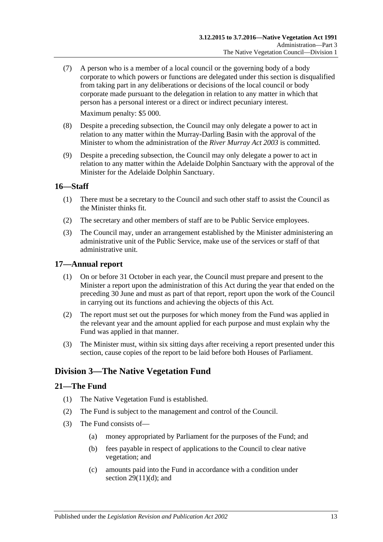(7) A person who is a member of a local council or the governing body of a body corporate to which powers or functions are delegated under this section is disqualified from taking part in any deliberations or decisions of the local council or body corporate made pursuant to the delegation in relation to any matter in which that person has a personal interest or a direct or indirect pecuniary interest.

Maximum penalty: \$5 000.

- (8) Despite a preceding subsection, the Council may only delegate a power to act in relation to any matter within the Murray-Darling Basin with the approval of the Minister to whom the administration of the *[River Murray Act](http://www.legislation.sa.gov.au/index.aspx?action=legref&type=act&legtitle=River%20Murray%20Act%202003) 2003* is committed.
- (9) Despite a preceding subsection, the Council may only delegate a power to act in relation to any matter within the Adelaide Dolphin Sanctuary with the approval of the Minister for the Adelaide Dolphin Sanctuary.

## <span id="page-12-0"></span>**16—Staff**

- (1) There must be a secretary to the Council and such other staff to assist the Council as the Minister thinks fit.
- (2) The secretary and other members of staff are to be Public Service employees.
- (3) The Council may, under an arrangement established by the Minister administering an administrative unit of the Public Service, make use of the services or staff of that administrative unit.

#### <span id="page-12-1"></span>**17—Annual report**

- (1) On or before 31 October in each year, the Council must prepare and present to the Minister a report upon the administration of this Act during the year that ended on the preceding 30 June and must as part of that report, report upon the work of the Council in carrying out its functions and achieving the objects of this Act.
- (2) The report must set out the purposes for which money from the Fund was applied in the relevant year and the amount applied for each purpose and must explain why the Fund was applied in that manner.
- (3) The Minister must, within six sitting days after receiving a report presented under this section, cause copies of the report to be laid before both Houses of Parliament.

# <span id="page-12-2"></span>**Division 3—The Native Vegetation Fund**

#### <span id="page-12-3"></span>**21—The Fund**

- (1) The Native Vegetation Fund is established.
- (2) The Fund is subject to the management and control of the Council.
- <span id="page-12-4"></span>(3) The Fund consists of—
	- (a) money appropriated by Parliament for the purposes of the Fund; and
	- (b) fees payable in respect of applications to the Council to clear native vegetation; and
	- (c) amounts paid into the Fund in accordance with a condition under section  $29(11)(d)$ ; and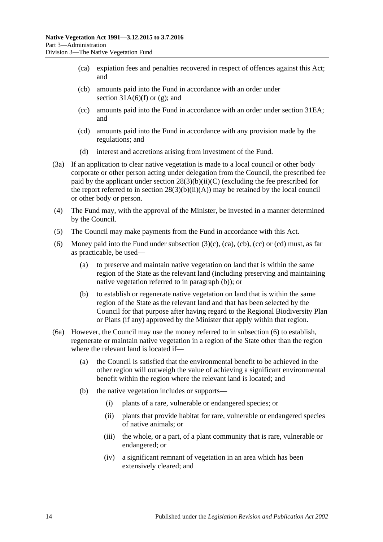- <span id="page-13-0"></span>(ca) expiation fees and penalties recovered in respect of offences against this Act; and
- <span id="page-13-1"></span>(cb) amounts paid into the Fund in accordance with an order under section  $31A(6)$ (f) or [\(g\);](#page-35-1) and
- <span id="page-13-2"></span>(cc) amounts paid into the Fund in accordance with an order under [section](#page-39-0) 31EA; and
- <span id="page-13-3"></span>(cd) amounts paid into the Fund in accordance with any provision made by the regulations; and
- (d) interest and accretions arising from investment of the Fund.
- (3a) If an application to clear native vegetation is made to a local council or other body corporate or other person acting under delegation from the Council, the prescribed fee paid by the applicant under section  $28(3)(b)(ii)(C)$  (excluding the fee prescribed for the report referred to in section  $28(3)(b)(ii)(A))$  may be retained by the local council or other body or person.
- (4) The Fund may, with the approval of the Minister, be invested in a manner determined by the Council.
- (5) The Council may make payments from the Fund in accordance with this Act.
- <span id="page-13-5"></span>(6) Money paid into the Fund under [subsection](#page-12-4)  $(3)(c)$ ,  $(ca)$ ,  $(cc)$  or  $(cd)$  must, as far as practicable, be used—
	- (a) to preserve and maintain native vegetation on land that is within the same region of the State as the relevant land (including preserving and maintaining native vegetation referred to in [paragraph](#page-13-4) (b)); or
	- (b) to establish or regenerate native vegetation on land that is within the same region of the State as the relevant land and that has been selected by the Council for that purpose after having regard to the Regional Biodiversity Plan or Plans (if any) approved by the Minister that apply within that region.
- <span id="page-13-6"></span><span id="page-13-4"></span>(6a) However, the Council may use the money referred to in [subsection](#page-13-5) (6) to establish, regenerate or maintain native vegetation in a region of the State other than the region where the relevant land is located if—
	- (a) the Council is satisfied that the environmental benefit to be achieved in the other region will outweigh the value of achieving a significant environmental benefit within the region where the relevant land is located; and
	- (b) the native vegetation includes or supports—
		- (i) plants of a rare, vulnerable or endangered species; or
		- (ii) plants that provide habitat for rare, vulnerable or endangered species of native animals; or
		- (iii) the whole, or a part, of a plant community that is rare, vulnerable or endangered; or
		- (iv) a significant remnant of vegetation in an area which has been extensively cleared; and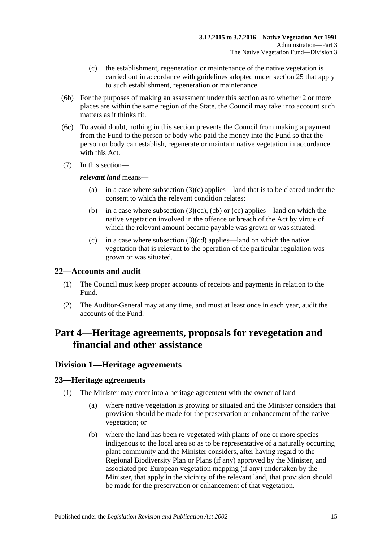- (c) the establishment, regeneration or maintenance of the native vegetation is carried out in accordance with guidelines adopted under [section](#page-18-0) 25 that apply to such establishment, regeneration or maintenance.
- (6b) For the purposes of making an assessment under this section as to whether 2 or more places are within the same region of the State, the Council may take into account such matters as it thinks fit.
- (6c) To avoid doubt, nothing in this section prevents the Council from making a payment from the Fund to the person or body who paid the money into the Fund so that the person or body can establish, regenerate or maintain native vegetation in accordance with this Act.
- (7) In this section—

#### *relevant land* means—

- (a) in a case where [subsection](#page-12-4) (3)(c) applies—land that is to be cleared under the consent to which the relevant condition relates;
- (b) in a case where [subsection](#page-13-0)  $(3)(ca)$ , [\(cb\)](#page-13-1) or [\(cc\)](#page-13-2) applies—land on which the native vegetation involved in the offence or breach of the Act by virtue of which the relevant amount became payable was grown or was situated;
- (c) in a case where [subsection](#page-13-3)  $(3)(cd)$  applies—land on which the native vegetation that is relevant to the operation of the particular regulation was grown or was situated.

## <span id="page-14-0"></span>**22—Accounts and audit**

- (1) The Council must keep proper accounts of receipts and payments in relation to the Fund.
- (2) The Auditor-General may at any time, and must at least once in each year, audit the accounts of the Fund.

# <span id="page-14-1"></span>**Part 4—Heritage agreements, proposals for revegetation and financial and other assistance**

# <span id="page-14-2"></span>**Division 1—Heritage agreements**

## <span id="page-14-3"></span>**23—Heritage agreements**

- (1) The Minister may enter into a heritage agreement with the owner of land—
	- (a) where native vegetation is growing or situated and the Minister considers that provision should be made for the preservation or enhancement of the native vegetation; or
	- (b) where the land has been re-vegetated with plants of one or more species indigenous to the local area so as to be representative of a naturally occurring plant community and the Minister considers, after having regard to the Regional Biodiversity Plan or Plans (if any) approved by the Minister, and associated pre-European vegetation mapping (if any) undertaken by the Minister, that apply in the vicinity of the relevant land, that provision should be made for the preservation or enhancement of that vegetation.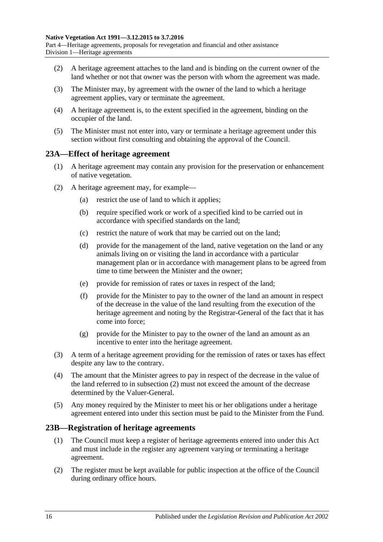Part 4—Heritage agreements, proposals for revegetation and financial and other assistance Division 1—Heritage agreements

- (2) A heritage agreement attaches to the land and is binding on the current owner of the land whether or not that owner was the person with whom the agreement was made.
- (3) The Minister may, by agreement with the owner of the land to which a heritage agreement applies, vary or terminate the agreement.
- (4) A heritage agreement is, to the extent specified in the agreement, binding on the occupier of the land.
- (5) The Minister must not enter into, vary or terminate a heritage agreement under this section without first consulting and obtaining the approval of the Council.

#### <span id="page-15-0"></span>**23A—Effect of heritage agreement**

- (1) A heritage agreement may contain any provision for the preservation or enhancement of native vegetation.
- <span id="page-15-2"></span>(2) A heritage agreement may, for example—
	- (a) restrict the use of land to which it applies;
	- (b) require specified work or work of a specified kind to be carried out in accordance with specified standards on the land;
	- (c) restrict the nature of work that may be carried out on the land;
	- (d) provide for the management of the land, native vegetation on the land or any animals living on or visiting the land in accordance with a particular management plan or in accordance with management plans to be agreed from time to time between the Minister and the owner;
	- (e) provide for remission of rates or taxes in respect of the land;
	- (f) provide for the Minister to pay to the owner of the land an amount in respect of the decrease in the value of the land resulting from the execution of the heritage agreement and noting by the Registrar-General of the fact that it has come into force;
	- (g) provide for the Minister to pay to the owner of the land an amount as an incentive to enter into the heritage agreement.
- (3) A term of a heritage agreement providing for the remission of rates or taxes has effect despite any law to the contrary.
- (4) The amount that the Minister agrees to pay in respect of the decrease in the value of the land referred to in [subsection](#page-15-2) (2) must not exceed the amount of the decrease determined by the Valuer-General.
- (5) Any money required by the Minister to meet his or her obligations under a heritage agreement entered into under this section must be paid to the Minister from the Fund.

#### <span id="page-15-1"></span>**23B—Registration of heritage agreements**

- (1) The Council must keep a register of heritage agreements entered into under this Act and must include in the register any agreement varying or terminating a heritage agreement.
- (2) The register must be kept available for public inspection at the office of the Council during ordinary office hours.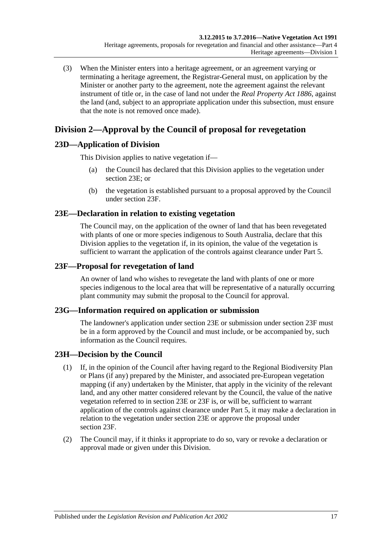(3) When the Minister enters into a heritage agreement, or an agreement varying or terminating a heritage agreement, the Registrar-General must, on application by the Minister or another party to the agreement, note the agreement against the relevant instrument of title or, in the case of land not under the *[Real Property Act](http://www.legislation.sa.gov.au/index.aspx?action=legref&type=act&legtitle=Real%20Property%20Act%201886) 1886*, against the land (and, subject to an appropriate application under this subsection, must ensure that the note is not removed once made).

# <span id="page-16-0"></span>**Division 2—Approval by the Council of proposal for revegetation**

# <span id="page-16-1"></span>**23D—Application of Division**

This Division applies to native vegetation if—

- (a) the Council has declared that this Division applies to the vegetation under [section](#page-16-2) 23E; or
- (b) the vegetation is established pursuant to a proposal approved by the Council under [section](#page-16-3) 23F.

# <span id="page-16-2"></span>**23E—Declaration in relation to existing vegetation**

The Council may, on the application of the owner of land that has been revegetated with plants of one or more species indigenous to South Australia, declare that this Division applies to the vegetation if, in its opinion, the value of the vegetation is sufficient to warrant the application of the controls against clearance under [Part 5.](#page-23-1)

## <span id="page-16-3"></span>**23F—Proposal for revegetation of land**

An owner of land who wishes to revegetate the land with plants of one or more species indigenous to the local area that will be representative of a naturally occurring plant community may submit the proposal to the Council for approval.

## <span id="page-16-4"></span>**23G—Information required on application or submission**

The landowner's application under [section](#page-16-2) 23E or submission under [section](#page-16-3) 23F must be in a form approved by the Council and must include, or be accompanied by, such information as the Council requires.

# <span id="page-16-5"></span>**23H—Decision by the Council**

- (1) If, in the opinion of the Council after having regard to the Regional Biodiversity Plan or Plans (if any) prepared by the Minister, and associated pre-European vegetation mapping (if any) undertaken by the Minister, that apply in the vicinity of the relevant land, and any other matter considered relevant by the Council, the value of the native vegetation referred to in [section](#page-16-2) 23E or [23F](#page-16-3) is, or will be, sufficient to warrant application of the controls against clearance under [Part 5,](#page-23-1) it may make a declaration in relation to the vegetation under [section](#page-16-2) 23E or approve the proposal under [section](#page-16-3) 23F.
- <span id="page-16-6"></span>(2) The Council may, if it thinks it appropriate to do so, vary or revoke a declaration or approval made or given under this Division.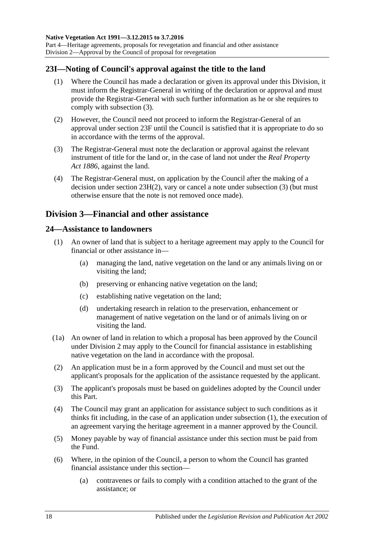Division 2—Approval by the Council of proposal for revegetation

## <span id="page-17-0"></span>**23I—Noting of Council's approval against the title to the land**

- (1) Where the Council has made a declaration or given its approval under this Division, it must inform the Registrar-General in writing of the declaration or approval and must provide the Registrar-General with such further information as he or she requires to comply with [subsection](#page-17-3) (3).
- (2) However, the Council need not proceed to inform the Registrar-General of an approval under [section](#page-16-3) 23F until the Council is satisfied that it is appropriate to do so in accordance with the terms of the approval.
- <span id="page-17-3"></span>(3) The Registrar-General must note the declaration or approval against the relevant instrument of title for the land or, in the case of land not under the *[Real Property](http://www.legislation.sa.gov.au/index.aspx?action=legref&type=act&legtitle=Real%20Property%20Act%201886)  Act [1886](http://www.legislation.sa.gov.au/index.aspx?action=legref&type=act&legtitle=Real%20Property%20Act%201886)*, against the land.
- (4) The Registrar-General must, on application by the Council after the making of a decision under section [23H\(2\),](#page-16-6) vary or cancel a note under [subsection](#page-17-3) (3) (but must otherwise ensure that the note is not removed once made).

# <span id="page-17-1"></span>**Division 3—Financial and other assistance**

#### <span id="page-17-4"></span><span id="page-17-2"></span>**24—Assistance to landowners**

- (1) An owner of land that is subject to a heritage agreement may apply to the Council for financial or other assistance in—
	- (a) managing the land, native vegetation on the land or any animals living on or visiting the land;
	- (b) preserving or enhancing native vegetation on the land;
	- (c) establishing native vegetation on the land;
	- (d) undertaking research in relation to the preservation, enhancement or management of native vegetation on the land or of animals living on or visiting the land.
- (1a) An owner of land in relation to which a proposal has been approved by the Council under [Division 2](#page-16-0) may apply to the Council for financial assistance in establishing native vegetation on the land in accordance with the proposal.
- (2) An application must be in a form approved by the Council and must set out the applicant's proposals for the application of the assistance requested by the applicant.
- (3) The applicant's proposals must be based on guidelines adopted by the Council under this Part.
- (4) The Council may grant an application for assistance subject to such conditions as it thinks fit including, in the case of an application under [subsection](#page-17-4) (1), the execution of an agreement varying the heritage agreement in a manner approved by the Council.
- (5) Money payable by way of financial assistance under this section must be paid from the Fund.
- <span id="page-17-5"></span>(6) Where, in the opinion of the Council, a person to whom the Council has granted financial assistance under this section—
	- (a) contravenes or fails to comply with a condition attached to the grant of the assistance; or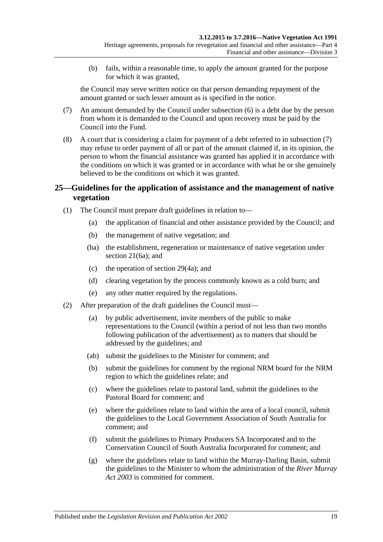(b) fails, within a reasonable time, to apply the amount granted for the purpose for which it was granted,

the Council may serve written notice on that person demanding repayment of the amount granted or such lesser amount as is specified in the notice.

- <span id="page-18-1"></span>(7) An amount demanded by the Council under [subsection](#page-17-5) (6) is a debt due by the person from whom it is demanded to the Council and upon recovery must be paid by the Council into the Fund.
- (8) A court that is considering a claim for payment of a debt referred to in [subsection](#page-18-1) (7) may refuse to order payment of all or part of the amount claimed if, in its opinion, the person to whom the financial assistance was granted has applied it in accordance with the conditions on which it was granted or in accordance with what he or she genuinely believed to be the conditions on which it was granted.

## <span id="page-18-0"></span>**25—Guidelines for the application of assistance and the management of native vegetation**

- (1) The Council must prepare draft guidelines in relation to—
	- (a) the application of financial and other assistance provided by the Council; and
	- (b) the management of native vegetation; and
	- (ba) the establishment, regeneration or maintenance of native vegetation under [section](#page-13-6) 21(6a); and
	- (c) the operation of [section](#page-29-0) 29(4a); and
	- (d) clearing vegetation by the process commonly known as a cold burn; and
	- (e) any other matter required by the regulations.
- <span id="page-18-4"></span><span id="page-18-3"></span><span id="page-18-2"></span>(2) After preparation of the draft guidelines the Council must—
	- (a) by public advertisement, invite members of the public to make representations to the Council (within a period of not less than two months following publication of the advertisement) as to matters that should be addressed by the guidelines; and
	- (ab) submit the guidelines to the Minister for comment; and
	- (b) submit the guidelines for comment by the regional NRM board for the NRM region to which the guidelines relate; and
	- (c) where the guidelines relate to pastoral land, submit the guidelines to the Pastoral Board for comment; and
	- (e) where the guidelines relate to land within the area of a local council, submit the guidelines to the Local Government Association of South Australia for comment; and
	- (f) submit the guidelines to Primary Producers SA Incorporated and to the Conservation Council of South Australia Incorporated for comment; and
	- (g) where the guidelines relate to land within the Murray-Darling Basin, submit the guidelines to the Minister to whom the administration of the *[River Murray](http://www.legislation.sa.gov.au/index.aspx?action=legref&type=act&legtitle=River%20Murray%20Act%202003)  Act [2003](http://www.legislation.sa.gov.au/index.aspx?action=legref&type=act&legtitle=River%20Murray%20Act%202003)* is committed for comment.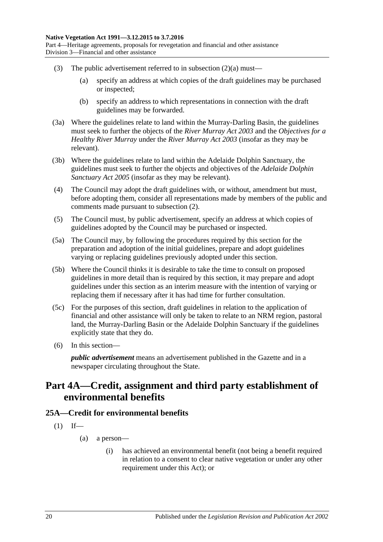- (3) The public advertisement referred to in [subsection](#page-18-2)  $(2)(a)$  must—
	- (a) specify an address at which copies of the draft guidelines may be purchased or inspected;
	- (b) specify an address to which representations in connection with the draft guidelines may be forwarded.
- (3a) Where the guidelines relate to land within the Murray-Darling Basin, the guidelines must seek to further the objects of the *[River Murray Act](http://www.legislation.sa.gov.au/index.aspx?action=legref&type=act&legtitle=River%20Murray%20Act%202003) 2003* and the *Objectives for a Healthy River Murray* under the *[River Murray Act](http://www.legislation.sa.gov.au/index.aspx?action=legref&type=act&legtitle=River%20Murray%20Act%202003) 2003* (insofar as they may be relevant).
- (3b) Where the guidelines relate to land within the Adelaide Dolphin Sanctuary, the guidelines must seek to further the objects and objectives of the *[Adelaide Dolphin](http://www.legislation.sa.gov.au/index.aspx?action=legref&type=act&legtitle=Adelaide%20Dolphin%20Sanctuary%20Act%202005)  [Sanctuary Act](http://www.legislation.sa.gov.au/index.aspx?action=legref&type=act&legtitle=Adelaide%20Dolphin%20Sanctuary%20Act%202005) 2005* (insofar as they may be relevant).
- (4) The Council may adopt the draft guidelines with, or without, amendment but must, before adopting them, consider all representations made by members of the public and comments made pursuant to [subsection](#page-18-3) (2).
- (5) The Council must, by public advertisement, specify an address at which copies of guidelines adopted by the Council may be purchased or inspected.
- (5a) The Council may, by following the procedures required by this section for the preparation and adoption of the initial guidelines, prepare and adopt guidelines varying or replacing guidelines previously adopted under this section.
- (5b) Where the Council thinks it is desirable to take the time to consult on proposed guidelines in more detail than is required by this section, it may prepare and adopt guidelines under this section as an interim measure with the intention of varying or replacing them if necessary after it has had time for further consultation.
- (5c) For the purposes of this section, draft guidelines in relation to the application of financial and other assistance will only be taken to relate to an NRM region, pastoral land, the Murray-Darling Basin or the Adelaide Dolphin Sanctuary if the guidelines explicitly state that they do.
- (6) In this section—

*public advertisement* means an advertisement published in the Gazette and in a newspaper circulating throughout the State.

# <span id="page-19-0"></span>**Part 4A—Credit, assignment and third party establishment of environmental benefits**

# <span id="page-19-1"></span>**25A—Credit for environmental benefits**

- $(1)$  If—
	- (a) a person—
		- (i) has achieved an environmental benefit (not being a benefit required in relation to a consent to clear native vegetation or under any other requirement under this Act); or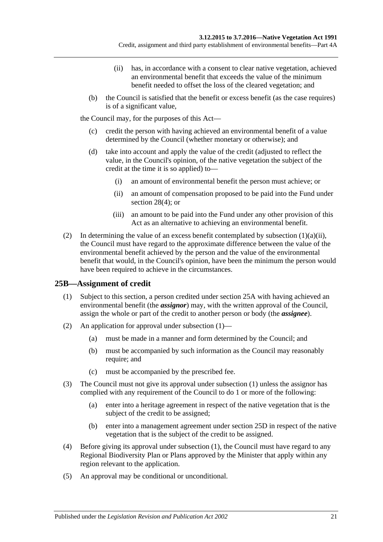Credit, assignment and third party establishment of environmental benefits—Part 4A

- (ii) has, in accordance with a consent to clear native vegetation, achieved an environmental benefit that exceeds the value of the minimum benefit needed to offset the loss of the cleared vegetation; and
- <span id="page-20-1"></span>(b) the Council is satisfied that the benefit or excess benefit (as the case requires) is of a significant value,

the Council may, for the purposes of this Act—

- (c) credit the person with having achieved an environmental benefit of a value determined by the Council (whether monetary or otherwise); and
- <span id="page-20-3"></span>(d) take into account and apply the value of the credit (adjusted to reflect the value, in the Council's opinion, of the native vegetation the subject of the credit at the time it is so applied) to—
	- (i) an amount of environmental benefit the person must achieve; or
	- (ii) an amount of compensation proposed to be paid into the Fund under [section](#page-28-2) 28(4); or
	- (iii) an amount to be paid into the Fund under any other provision of this Act as an alternative to achieving an environmental benefit.
- (2) In determining the value of an excess benefit contemplated by [subsection](#page-20-1)  $(1)(a)(ii)$ , the Council must have regard to the approximate difference between the value of the environmental benefit achieved by the person and the value of the environmental benefit that would, in the Council's opinion, have been the minimum the person would have been required to achieve in the circumstances.

## <span id="page-20-2"></span><span id="page-20-0"></span>**25B—Assignment of credit**

- (1) Subject to this section, a person credited under [section](#page-19-1) 25A with having achieved an environmental benefit (the *assignor*) may, with the written approval of the Council, assign the whole or part of the credit to another person or body (the *assignee*).
- (2) An application for approval under [subsection](#page-20-2) (1)—
	- (a) must be made in a manner and form determined by the Council; and
	- (b) must be accompanied by such information as the Council may reasonably require; and
	- (c) must be accompanied by the prescribed fee.
- (3) The Council must not give its approval under [subsection](#page-20-2) (1) unless the assignor has complied with any requirement of the Council to do 1 or more of the following:
	- (a) enter into a heritage agreement in respect of the native vegetation that is the subject of the credit to be assigned;
	- (b) enter into a management agreement under [section](#page-22-0) 25D in respect of the native vegetation that is the subject of the credit to be assigned.
- (4) Before giving its approval under [subsection](#page-20-2) (1), the Council must have regard to any Regional Biodiversity Plan or Plans approved by the Minister that apply within any region relevant to the application.
- (5) An approval may be conditional or unconditional.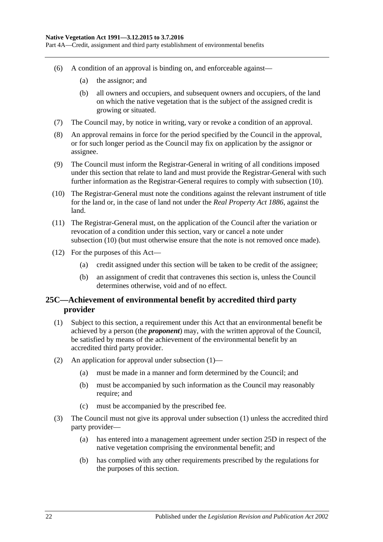Part 4A—Credit, assignment and third party establishment of environmental benefits

- (6) A condition of an approval is binding on, and enforceable against—
	- (a) the assignor; and
	- (b) all owners and occupiers, and subsequent owners and occupiers, of the land on which the native vegetation that is the subject of the assigned credit is growing or situated.
- (7) The Council may, by notice in writing, vary or revoke a condition of an approval.
- (8) An approval remains in force for the period specified by the Council in the approval, or for such longer period as the Council may fix on application by the assignor or assignee.
- (9) The Council must inform the Registrar-General in writing of all conditions imposed under this section that relate to land and must provide the Registrar-General with such further information as the Registrar-General requires to comply with [subsection](#page-21-1) (10).
- <span id="page-21-1"></span>(10) The Registrar-General must note the conditions against the relevant instrument of title for the land or, in the case of land not under the *[Real Property Act](http://www.legislation.sa.gov.au/index.aspx?action=legref&type=act&legtitle=Real%20Property%20Act%201886) 1886*, against the land.
- (11) The Registrar-General must, on the application of the Council after the variation or revocation of a condition under this section, vary or cancel a note under [subsection](#page-21-1) (10) (but must otherwise ensure that the note is not removed once made).
- (12) For the purposes of this Act—
	- (a) credit assigned under this section will be taken to be credit of the assignee;
	- (b) an assignment of credit that contravenes this section is, unless the Council determines otherwise, void and of no effect.

## <span id="page-21-0"></span>**25C—Achievement of environmental benefit by accredited third party provider**

- <span id="page-21-2"></span>(1) Subject to this section, a requirement under this Act that an environmental benefit be achieved by a person (the *proponent*) may, with the written approval of the Council, be satisfied by means of the achievement of the environmental benefit by an accredited third party provider.
- (2) An application for approval under [subsection](#page-21-2) (1)—
	- (a) must be made in a manner and form determined by the Council; and
	- (b) must be accompanied by such information as the Council may reasonably require; and
	- (c) must be accompanied by the prescribed fee.
- (3) The Council must not give its approval under [subsection](#page-21-2) (1) unless the accredited third party provider—
	- (a) has entered into a management agreement under [section](#page-22-0) 25D in respect of the native vegetation comprising the environmental benefit; and
	- (b) has complied with any other requirements prescribed by the regulations for the purposes of this section.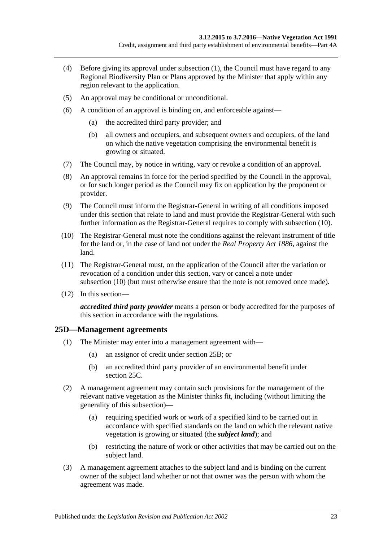- (4) Before giving its approval under [subsection](#page-21-2) (1), the Council must have regard to any Regional Biodiversity Plan or Plans approved by the Minister that apply within any region relevant to the application.
- (5) An approval may be conditional or unconditional.
- (6) A condition of an approval is binding on, and enforceable against—
	- (a) the accredited third party provider; and
	- (b) all owners and occupiers, and subsequent owners and occupiers, of the land on which the native vegetation comprising the environmental benefit is growing or situated.
- (7) The Council may, by notice in writing, vary or revoke a condition of an approval.
- (8) An approval remains in force for the period specified by the Council in the approval, or for such longer period as the Council may fix on application by the proponent or provider.
- (9) The Council must inform the Registrar-General in writing of all conditions imposed under this section that relate to land and must provide the Registrar-General with such further information as the Registrar-General requires to comply with [subsection](#page-22-1) (10).
- <span id="page-22-1"></span>(10) The Registrar-General must note the conditions against the relevant instrument of title for the land or, in the case of land not under the *[Real Property Act](http://www.legislation.sa.gov.au/index.aspx?action=legref&type=act&legtitle=Real%20Property%20Act%201886) 1886*, against the land.
- (11) The Registrar-General must, on the application of the Council after the variation or revocation of a condition under this section, vary or cancel a note under [subsection](#page-22-1) (10) (but must otherwise ensure that the note is not removed once made).
- (12) In this section—

*accredited third party provider* means a person or body accredited for the purposes of this section in accordance with the regulations.

## <span id="page-22-0"></span>**25D—Management agreements**

- (1) The Minister may enter into a management agreement with—
	- (a) an assignor of credit under [section](#page-20-0) 25B; or
	- (b) an accredited third party provider of an environmental benefit under [section](#page-21-0) 25C.
- (2) A management agreement may contain such provisions for the management of the relevant native vegetation as the Minister thinks fit, including (without limiting the generality of this subsection)—
	- (a) requiring specified work or work of a specified kind to be carried out in accordance with specified standards on the land on which the relevant native vegetation is growing or situated (the *subject land*); and
	- (b) restricting the nature of work or other activities that may be carried out on the subject land.
- (3) A management agreement attaches to the subject land and is binding on the current owner of the subject land whether or not that owner was the person with whom the agreement was made.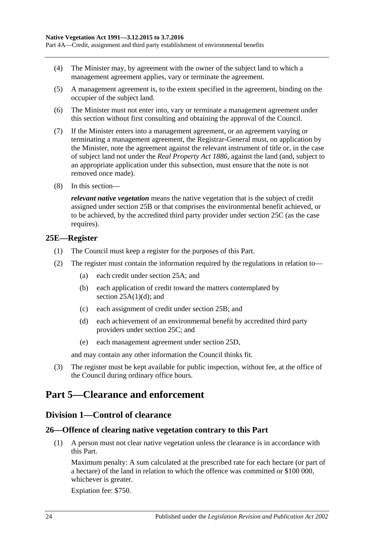Part 4A—Credit, assignment and third party establishment of environmental benefits

- (4) The Minister may, by agreement with the owner of the subject land to which a management agreement applies, vary or terminate the agreement.
- (5) A management agreement is, to the extent specified in the agreement, binding on the occupier of the subject land.
- (6) The Minister must not enter into, vary or terminate a management agreement under this section without first consulting and obtaining the approval of the Council.
- (7) If the Minister enters into a management agreement, or an agreement varying or terminating a management agreement, the Registrar-General must, on application by the Minister, note the agreement against the relevant instrument of title or, in the case of subject land not under the *[Real Property Act](http://www.legislation.sa.gov.au/index.aspx?action=legref&type=act&legtitle=Real%20Property%20Act%201886) 1886*, against the land (and, subject to an appropriate application under this subsection, must ensure that the note is not removed once made).
- (8) In this section—

*relevant native vegetation* means the native vegetation that is the subject of credit assigned under [section](#page-20-0) 25B or that comprises the environmental benefit achieved, or to be achieved, by the accredited third party provider under [section](#page-21-0) 25C (as the case requires).

#### <span id="page-23-0"></span>**25E—Register**

- (1) The Council must keep a register for the purposes of this Part.
- (2) The register must contain the information required by the regulations in relation to—
	- (a) each credit under [section](#page-19-1) 25A; and
	- (b) each application of credit toward the matters contemplated by section  $25A(1)(d)$ ; and
	- (c) each assignment of credit under [section](#page-20-0) 25B; and
	- (d) each achievement of an environmental benefit by accredited third party providers under [section](#page-21-0) 25C; and
	- (e) each management agreement under [section](#page-22-0) 25D,

and may contain any other information the Council thinks fit.

(3) The register must be kept available for public inspection, without fee, at the office of the Council during ordinary office hours.

# <span id="page-23-2"></span><span id="page-23-1"></span>**Part 5—Clearance and enforcement**

## **Division 1—Control of clearance**

# <span id="page-23-4"></span><span id="page-23-3"></span>**26—Offence of clearing native vegetation contrary to this Part**

(1) A person must not clear native vegetation unless the clearance is in accordance with this Part.

Maximum penalty: A sum calculated at the prescribed rate for each hectare (or part of a hectare) of the land in relation to which the offence was committed or \$100 000, whichever is greater.

Expiation fee: \$750.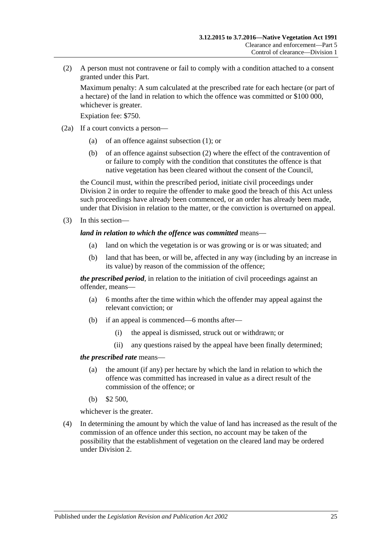<span id="page-24-0"></span>(2) A person must not contravene or fail to comply with a condition attached to a consent granted under this Part.

Maximum penalty: A sum calculated at the prescribed rate for each hectare (or part of a hectare) of the land in relation to which the offence was committed or \$100 000, whichever is greater.

Expiation fee: \$750.

- (2a) If a court convicts a person—
	- (a) of an offence against [subsection](#page-23-4) (1); or
	- (b) of an offence against [subsection](#page-24-0) (2) where the effect of the contravention of or failure to comply with the condition that constitutes the offence is that native vegetation has been cleared without the consent of the Council,

the Council must, within the prescribed period, initiate civil proceedings under [Division 2](#page-34-1) in order to require the offender to make good the breach of this Act unless such proceedings have already been commenced, or an order has already been made, under that Division in relation to the matter, or the conviction is overturned on appeal.

(3) In this section—

#### *land in relation to which the offence was committed* means—

- (a) land on which the vegetation is or was growing or is or was situated; and
- (b) land that has been, or will be, affected in any way (including by an increase in its value) by reason of the commission of the offence;

*the prescribed period*, in relation to the initiation of civil proceedings against an offender, means—

- (a) 6 months after the time within which the offender may appeal against the relevant conviction; or
- (b) if an appeal is commenced—6 months after—
	- (i) the appeal is dismissed, struck out or withdrawn; or
	- (ii) any questions raised by the appeal have been finally determined;

#### *the prescribed rate* means—

- (a) the amount (if any) per hectare by which the land in relation to which the offence was committed has increased in value as a direct result of the commission of the offence; or
- (b) \$2 500,

whichever is the greater.

(4) In determining the amount by which the value of land has increased as the result of the commission of an offence under this section, no account may be taken of the possibility that the establishment of vegetation on the cleared land may be ordered under [Division 2.](#page-34-1)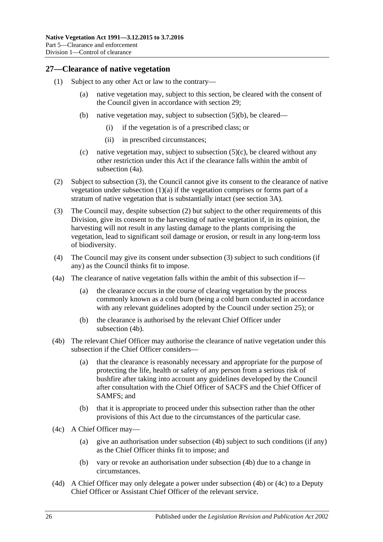## <span id="page-25-0"></span>**27—Clearance of native vegetation**

- <span id="page-25-8"></span><span id="page-25-7"></span><span id="page-25-3"></span>(1) Subject to any other Act or law to the contrary—
	- (a) native vegetation may, subject to this section, be cleared with the consent of the Council given in accordance with [section](#page-28-0) 29;
	- (b) native vegetation may, subject to [subsection](#page-26-1) (5)(b), be cleared—
		- (i) if the vegetation is of a prescribed class; or
		- (ii) in prescribed circumstances;
	- (c) native vegetation may, subject to subsection  $(5)(c)$ , be cleared without any other restriction under this Act if the clearance falls within the ambit of [subsection](#page-25-1) (4a).
- <span id="page-25-9"></span><span id="page-25-4"></span>(2) Subject to [subsection](#page-25-2) (3), the Council cannot give its consent to the clearance of native vegetation under [subsection](#page-25-3)  $(1)(a)$  if the vegetation comprises or forms part of a stratum of native vegetation that is substantially intact (see [section](#page-5-0) 3A).
- <span id="page-25-2"></span>(3) The Council may, despite [subsection](#page-25-4) (2) but subject to the other requirements of this Division, give its consent to the harvesting of native vegetation if, in its opinion, the harvesting will not result in any lasting damage to the plants comprising the vegetation, lead to significant soil damage or erosion, or result in any long-term loss of biodiversity.
- (4) The Council may give its consent under [subsection](#page-25-2) (3) subject to such conditions (if any) as the Council thinks fit to impose.
- <span id="page-25-1"></span>(4a) The clearance of native vegetation falls within the ambit of this subsection if—
	- (a) the clearance occurs in the course of clearing vegetation by the process commonly known as a cold burn (being a cold burn conducted in accordance with any relevant guidelines adopted by the Council under [section](#page-18-0) 25); or
	- (b) the clearance is authorised by the relevant Chief Officer under [subsection](#page-25-5) (4b).
- <span id="page-25-5"></span>(4b) The relevant Chief Officer may authorise the clearance of native vegetation under this subsection if the Chief Officer considers—
	- (a) that the clearance is reasonably necessary and appropriate for the purpose of protecting the life, health or safety of any person from a serious risk of bushfire after taking into account any guidelines developed by the Council after consultation with the Chief Officer of SACFS and the Chief Officer of SAMFS; and
	- (b) that it is appropriate to proceed under this subsection rather than the other provisions of this Act due to the circumstances of the particular case.
- <span id="page-25-6"></span>(4c) A Chief Officer may—
	- (a) give an authorisation under [subsection](#page-25-5) (4b) subject to such conditions (if any) as the Chief Officer thinks fit to impose; and
	- (b) vary or revoke an authorisation under [subsection](#page-25-5) (4b) due to a change in circumstances.
- (4d) A Chief Officer may only delegate a power under [subsection](#page-25-5) (4b) or [\(4c\)](#page-25-6) to a Deputy Chief Officer or Assistant Chief Officer of the relevant service.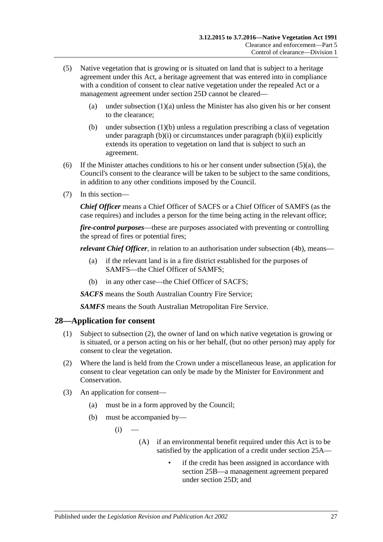- <span id="page-26-2"></span>(5) Native vegetation that is growing or is situated on land that is subject to a heritage agreement under this Act, a heritage agreement that was entered into in compliance with a condition of consent to clear native vegetation under the repealed Act or a management agreement under section 25D cannot be cleared
	- (a) under [subsection](#page-25-3)  $(1)(a)$  unless the Minister has also given his or her consent to the clearance;
	- (b) under [subsection](#page-25-7) (1)(b) unless a regulation prescribing a class of vegetation under [paragraph](#page-25-8) (b)(i) or circumstances under [paragraph](#page-25-9) (b)(ii) explicitly extends its operation to vegetation on land that is subject to such an agreement.
- <span id="page-26-1"></span>(6) If the Minister attaches conditions to his or her consent under [subsection](#page-26-2)  $(5)(a)$ , the Council's consent to the clearance will be taken to be subject to the same conditions, in addition to any other conditions imposed by the Council.
- (7) In this section—

*Chief Officer* means a Chief Officer of SACFS or a Chief Officer of SAMFS (as the case requires) and includes a person for the time being acting in the relevant office;

*fire-control purposes*—these are purposes associated with preventing or controlling the spread of fires or potential fires;

*relevant Chief Officer*, in relation to an authorisation under [subsection](#page-25-5) (4b), means—

- (a) if the relevant land is in a fire district established for the purposes of SAMFS—the Chief Officer of SAMFS;
- (b) in any other case—the Chief Officer of SACFS;

*SACFS* means the South Australian Country Fire Service;

*SAMFS* means the South Australian Metropolitan Fire Service.

#### <span id="page-26-0"></span>**28—Application for consent**

- (1) Subject to [subsection](#page-26-3) (2), the owner of land on which native vegetation is growing or is situated, or a person acting on his or her behalf, (but no other person) may apply for consent to clear the vegetation.
- <span id="page-26-3"></span>(2) Where the land is held from the Crown under a miscellaneous lease, an application for consent to clear vegetation can only be made by the Minister for Environment and Conservation.
- (3) An application for consent—
	- (a) must be in a form approved by the Council;
	- (b) must be accompanied by—
		- $(i)$ 
			- (A) if an environmental benefit required under this Act is to be satisfied by the application of a credit under [section](#page-19-1) 25A
				- if the credit has been assigned in accordance with [section](#page-20-0) 25B—a management agreement prepared under [section](#page-22-0) 25D; and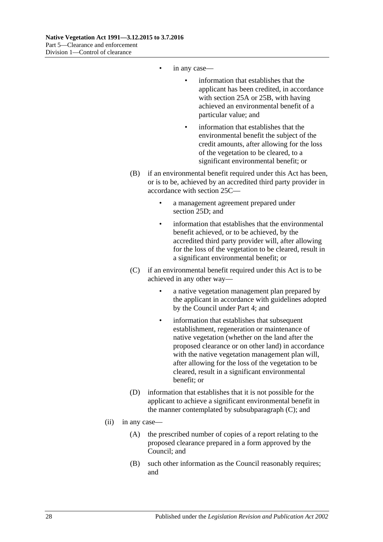- in any case—
	- information that establishes that the applicant has been credited, in accordance with [section](#page-19-1) 25A or [25B,](#page-20-0) with having achieved an environmental benefit of a particular value; and
	- information that establishes that the environmental benefit the subject of the credit amounts, after allowing for the loss of the vegetation to be cleared, to a significant environmental benefit; or
- (B) if an environmental benefit required under this Act has been, or is to be, achieved by an accredited third party provider in accordance with [section](#page-21-0) 25C—
	- a management agreement prepared under [section](#page-22-0) 25D; and
	- information that establishes that the environmental benefit achieved, or to be achieved, by the accredited third party provider will, after allowing for the loss of the vegetation to be cleared, result in a significant environmental benefit; or
- (C) if an environmental benefit required under this Act is to be achieved in any other way
	- a native vegetation management plan prepared by the applicant in accordance with guidelines adopted by the Council under [Part 4;](#page-14-1) and
	- information that establishes that subsequent establishment, regeneration or maintenance of native vegetation (whether on the land after the proposed clearance or on other land) in accordance with the native vegetation management plan will, after allowing for the loss of the vegetation to be cleared, result in a significant environmental benefit; or
- (D) information that establishes that it is not possible for the applicant to achieve a significant environmental benefit in the manner contemplated by subsubparagraph (C); and
- <span id="page-27-1"></span><span id="page-27-0"></span>(ii) in any case—
	- (A) the prescribed number of copies of a report relating to the proposed clearance prepared in a form approved by the Council; and
	- (B) such other information as the Council reasonably requires; and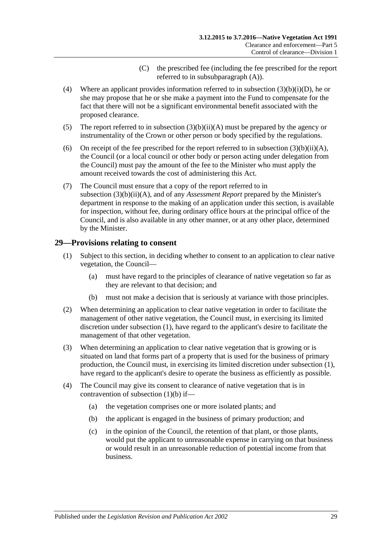- (C) the prescribed fee (including the fee prescribed for the report referred to in subsubparagraph (A)).
- <span id="page-28-2"></span><span id="page-28-1"></span>(4) Where an applicant provides information referred to in subsection  $(3)(b)(i)(D)$ , he or she may propose that he or she make a payment into the Fund to compensate for the fact that there will not be a significant environmental benefit associated with the proposed clearance.
- <span id="page-28-5"></span>(5) The report referred to in subsection  $(3)(b)(ii)(A)$  must be prepared by the agency or instrumentality of the Crown or other person or body specified by the regulations.
- (6) On receipt of the fee prescribed for the report referred to in subsection  $(3)(b)(ii)(A)$ , the Council (or a local council or other body or person acting under delegation from the Council) must pay the amount of the fee to the Minister who must apply the amount received towards the cost of administering this Act.
- (7) The Council must ensure that a copy of the report referred to in subsection [\(3\)\(b\)\(ii\)\(A\),](#page-27-0) and of any *Assessment Report* prepared by the Minister's department in response to the making of an application under this section, is available for inspection, without fee, during ordinary office hours at the principal office of the Council, and is also available in any other manner, or at any other place, determined by the Minister.

## <span id="page-28-3"></span><span id="page-28-0"></span>**29—Provisions relating to consent**

- (1) Subject to this section, in deciding whether to consent to an application to clear native vegetation, the Council—
	- (a) must have regard to the principles of clearance of native vegetation so far as they are relevant to that decision; and
	- (b) must not make a decision that is seriously at variance with those principles.
- <span id="page-28-4"></span>(2) When determining an application to clear native vegetation in order to facilitate the management of other native vegetation, the Council must, in exercising its limited discretion under [subsection](#page-28-3) (1), have regard to the applicant's desire to facilitate the management of that other vegetation.
- (3) When determining an application to clear native vegetation that is growing or is situated on land that forms part of a property that is used for the business of primary production, the Council must, in exercising its limited discretion under [subsection](#page-28-3) (1), have regard to the applicant's desire to operate the business as efficiently as possible.
- (4) The Council may give its consent to clearance of native vegetation that is in contravention of [subsection](#page-28-4) (1)(b) if—
	- (a) the vegetation comprises one or more isolated plants; and
	- (b) the applicant is engaged in the business of primary production; and
	- (c) in the opinion of the Council, the retention of that plant, or those plants, would put the applicant to unreasonable expense in carrying on that business or would result in an unreasonable reduction of potential income from that business.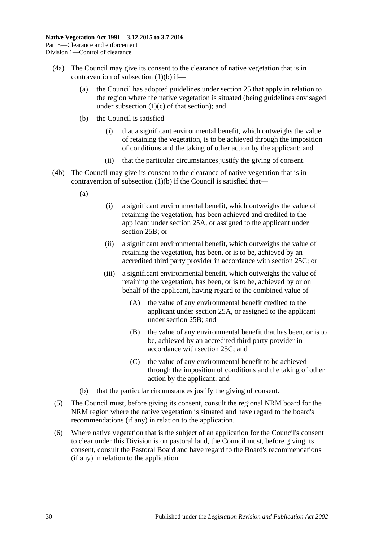- <span id="page-29-0"></span>(4a) The Council may give its consent to the clearance of native vegetation that is in contravention of [subsection](#page-28-4) (1)(b) if—
	- (a) the Council has adopted guidelines under [section](#page-18-0) 25 that apply in relation to the region where the native vegetation is situated (being guidelines envisaged under [subsection](#page-18-4)  $(1)(c)$  of that section); and
	- (b) the Council is satisfied—
		- (i) that a significant environmental benefit, which outweighs the value of retaining the vegetation, is to be achieved through the imposition of conditions and the taking of other action by the applicant; and
		- (ii) that the particular circumstances justify the giving of consent.
- <span id="page-29-4"></span><span id="page-29-3"></span><span id="page-29-2"></span>(4b) The Council may give its consent to the clearance of native vegetation that is in contravention of [subsection](#page-28-4)  $(1)(b)$  if the Council is satisfied that—
	- $(a)$ 
		- (i) a significant environmental benefit, which outweighs the value of retaining the vegetation, has been achieved and credited to the applicant under [section](#page-19-1) 25A, or assigned to the applicant under [section](#page-20-0) 25B; or
		- (ii) a significant environmental benefit, which outweighs the value of retaining the vegetation, has been, or is to be, achieved by an accredited third party provider in accordance with [section](#page-21-0) 25C; or
		- (iii) a significant environmental benefit, which outweighs the value of retaining the vegetation, has been, or is to be, achieved by or on behalf of the applicant, having regard to the combined value of—
			- (A) the value of any environmental benefit credited to the applicant under [section](#page-19-1) 25A, or assigned to the applicant under [section](#page-20-0) 25B; and
			- (B) the value of any environmental benefit that has been, or is to be, achieved by an accredited third party provider in accordance with [section](#page-21-0) 25C; and
			- (C) the value of any environmental benefit to be achieved through the imposition of conditions and the taking of other action by the applicant; and
	- (b) that the particular circumstances justify the giving of consent.
- (5) The Council must, before giving its consent, consult the regional NRM board for the NRM region where the native vegetation is situated and have regard to the board's recommendations (if any) in relation to the application.
- <span id="page-29-1"></span>(6) Where native vegetation that is the subject of an application for the Council's consent to clear under this Division is on pastoral land, the Council must, before giving its consent, consult the Pastoral Board and have regard to the Board's recommendations (if any) in relation to the application.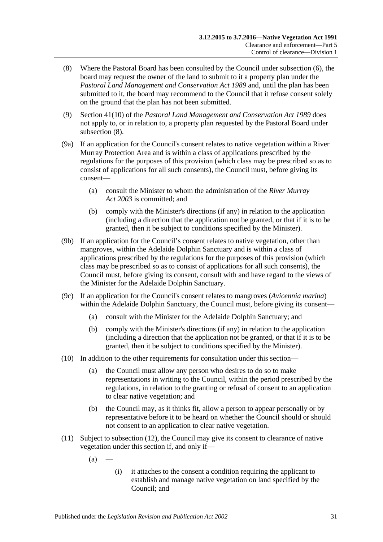- <span id="page-30-0"></span>(8) Where the Pastoral Board has been consulted by the Council under [subsection](#page-29-1) (6), the board may request the owner of the land to submit to it a property plan under the *[Pastoral Land Management and Conservation Act](http://www.legislation.sa.gov.au/index.aspx?action=legref&type=act&legtitle=Pastoral%20Land%20Management%20and%20Conservation%20Act%201989) 1989* and, until the plan has been submitted to it, the board may recommend to the Council that it refuse consent solely on the ground that the plan has not been submitted.
- (9) Section 41(10) of the *[Pastoral Land Management and Conservation Act](http://www.legislation.sa.gov.au/index.aspx?action=legref&type=act&legtitle=Pastoral%20Land%20Management%20and%20Conservation%20Act%201989) 1989* does not apply to, or in relation to, a property plan requested by the Pastoral Board under [subsection](#page-30-0) (8).
- (9a) If an application for the Council's consent relates to native vegetation within a River Murray Protection Area and is within a class of applications prescribed by the regulations for the purposes of this provision (which class may be prescribed so as to consist of applications for all such consents), the Council must, before giving its consent—
	- (a) consult the Minister to whom the administration of the *[River Murray](http://www.legislation.sa.gov.au/index.aspx?action=legref&type=act&legtitle=River%20Murray%20Act%202003)  Act [2003](http://www.legislation.sa.gov.au/index.aspx?action=legref&type=act&legtitle=River%20Murray%20Act%202003)* is committed; and
	- (b) comply with the Minister's directions (if any) in relation to the application (including a direction that the application not be granted, or that if it is to be granted, then it be subject to conditions specified by the Minister).
- (9b) If an application for the Council's consent relates to native vegetation, other than mangroves, within the Adelaide Dolphin Sanctuary and is within a class of applications prescribed by the regulations for the purposes of this provision (which class may be prescribed so as to consist of applications for all such consents), the Council must, before giving its consent, consult with and have regard to the views of the Minister for the Adelaide Dolphin Sanctuary.
- (9c) If an application for the Council's consent relates to mangroves (*Avicennia marina*) within the Adelaide Dolphin Sanctuary, the Council must, before giving its consent—
	- (a) consult with the Minister for the Adelaide Dolphin Sanctuary; and
	- (b) comply with the Minister's directions (if any) in relation to the application (including a direction that the application not be granted, or that if it is to be granted, then it be subject to conditions specified by the Minister).
- (10) In addition to the other requirements for consultation under this section—
	- (a) the Council must allow any person who desires to do so to make representations in writing to the Council, within the period prescribed by the regulations, in relation to the granting or refusal of consent to an application to clear native vegetation; and
	- (b) the Council may, as it thinks fit, allow a person to appear personally or by representative before it to be heard on whether the Council should or should not consent to an application to clear native vegetation.
- <span id="page-30-1"></span>(11) Subject to [subsection](#page-31-1) (12), the Council may give its consent to clearance of native vegetation under this section if, and only if—
	- $(a)$
- (i) it attaches to the consent a condition requiring the applicant to establish and manage native vegetation on land specified by the Council; and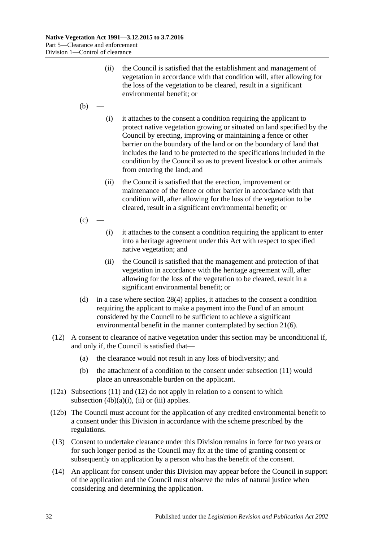- (ii) the Council is satisfied that the establishment and management of vegetation in accordance with that condition will, after allowing for the loss of the vegetation to be cleared, result in a significant environmental benefit; or
- $(b)$
- (i) it attaches to the consent a condition requiring the applicant to protect native vegetation growing or situated on land specified by the Council by erecting, improving or maintaining a fence or other barrier on the boundary of the land or on the boundary of land that includes the land to be protected to the specifications included in the condition by the Council so as to prevent livestock or other animals from entering the land; and
- (ii) the Council is satisfied that the erection, improvement or maintenance of the fence or other barrier in accordance with that condition will, after allowing for the loss of the vegetation to be cleared, result in a significant environmental benefit; or
- $(c)$ 
	- (i) it attaches to the consent a condition requiring the applicant to enter into a heritage agreement under this Act with respect to specified native vegetation; and
	- (ii) the Council is satisfied that the management and protection of that vegetation in accordance with the heritage agreement will, after allowing for the loss of the vegetation to be cleared, result in a significant environmental benefit; or
- <span id="page-31-0"></span>(d) in a case where [section](#page-28-2) 28(4) applies, it attaches to the consent a condition requiring the applicant to make a payment into the Fund of an amount considered by the Council to be sufficient to achieve a significant environmental benefit in the manner contemplated by [section](#page-13-5) 21(6).
- <span id="page-31-1"></span>(12) A consent to clearance of native vegetation under this section may be unconditional if, and only if, the Council is satisfied that—
	- (a) the clearance would not result in any loss of biodiversity; and
	- (b) the attachment of a condition to the consent under [subsection](#page-30-1) (11) would place an unreasonable burden on the applicant.
- (12a) [Subsections](#page-30-1) (11) and [\(12\)](#page-31-1) do not apply in relation to a consent to which [subsection](#page-29-2)  $(4b)(a)(i)$ ,  $(ii)$  or  $(iii)$  applies.
- (12b) The Council must account for the application of any credited environmental benefit to a consent under this Division in accordance with the scheme prescribed by the regulations.
- (13) Consent to undertake clearance under this Division remains in force for two years or for such longer period as the Council may fix at the time of granting consent or subsequently on application by a person who has the benefit of the consent.
- (14) An applicant for consent under this Division may appear before the Council in support of the application and the Council must observe the rules of natural justice when considering and determining the application.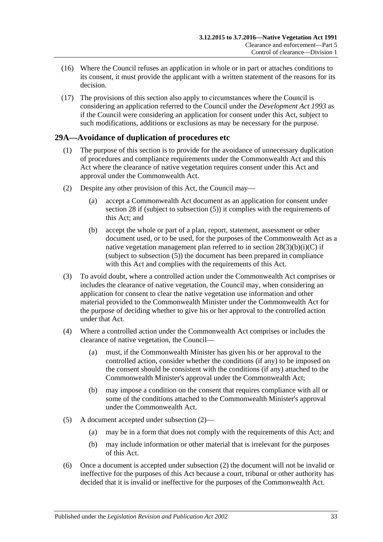- (16) Where the Council refuses an application in whole or in part or attaches conditions to its consent, it must provide the applicant with a written statement of the reasons for its decision.
- (17) The provisions of this section also apply to circumstances where the Council is considering an application referred to the Council under the *[Development Act](http://www.legislation.sa.gov.au/index.aspx?action=legref&type=act&legtitle=Development%20Act%201993) 1993* as if the Council were considering an application for consent under this Act, subject to such modifications, additions or exclusions as may be necessary for the purpose.

## <span id="page-32-0"></span>**29A—Avoidance of duplication of procedures etc**

- (1) The purpose of this section is to provide for the avoidance of unnecessary duplication of procedures and compliance requirements under the Commonwealth Act and this Act where the clearance of native vegetation requires consent under this Act and approval under the Commonwealth Act.
- <span id="page-32-1"></span>(2) Despite any other provision of this Act, the Council may—
	- (a) accept a Commonwealth Act document as an application for consent under [section](#page-26-0) 28 if (subject to [subsection](#page-28-5) (5)) it complies with the requirements of this Act; and
	- (b) accept the whole or part of a plan, report, statement, assessment or other document used, or to be used, for the purposes of the Commonwealth Act as a native vegetation management plan referred to in section  $28(3)(b)(i)(C)$  if (subject to [subsection](#page-28-5) (5)) the document has been prepared in compliance with this Act and complies with the requirements of this Act.
- (3) To avoid doubt, where a controlled action under the Commonwealth Act comprises or includes the clearance of native vegetation, the Council may, when considering an application for consent to clear the native vegetation use information and other material provided to the Commonwealth Minister under the Commonwealth Act for the purpose of deciding whether to give his or her approval to the controlled action under that Act.
- (4) Where a controlled action under the Commonwealth Act comprises or includes the clearance of native vegetation, the Council—
	- (a) must, if the Commonwealth Minister has given his or her approval to the controlled action, consider whether the conditions (if any) to be imposed on the consent should be consistent with the conditions (if any) attached to the Commonwealth Minister's approval under the Commonwealth Act;
	- (b) may impose a condition on the consent that requires compliance with all or some of the conditions attached to the Commonwealth Minister's approval under the Commonwealth Act.
- (5) A document accepted under [subsection](#page-32-1) (2)—
	- (a) may be in a form that does not comply with the requirements of this Act; and
	- (b) may include information or other material that is irrelevant for the purposes of this Act.
- (6) Once a document is accepted under [subsection](#page-32-1) (2) the document will not be invalid or ineffective for the purposes of this Act because a court, tribunal or other authority has decided that it is invalid or ineffective for the purposes of the Commonwealth Act.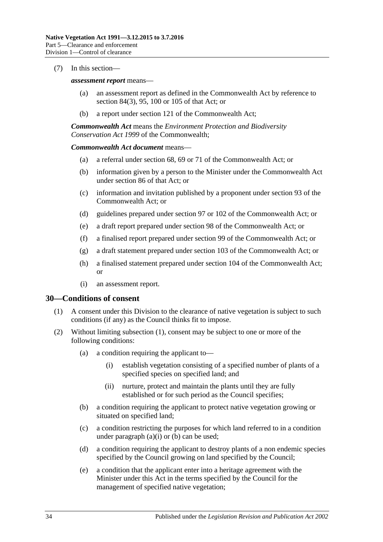#### (7) In this section—

#### *assessment report* means—

- (a) an assessment report as defined in the Commonwealth Act by reference to section 84(3), 95, 100 or 105 of that Act; or
- (b) a report under section 121 of the Commonwealth Act;

*Commonwealth Act* means the *Environment Protection and Biodiversity Conservation Act 1999* of the Commonwealth;

#### *Commonwealth Act document* means—

- (a) a referral under section 68, 69 or 71 of the Commonwealth Act; or
- (b) information given by a person to the Minister under the Commonwealth Act under section 86 of that Act; or
- (c) information and invitation published by a proponent under section 93 of the Commonwealth Act; or
- (d) guidelines prepared under section 97 or 102 of the Commonwealth Act; or
- (e) a draft report prepared under section 98 of the Commonwealth Act; or
- (f) a finalised report prepared under section 99 of the Commonwealth Act; or
- (g) a draft statement prepared under section 103 of the Commonwealth Act; or
- (h) a finalised statement prepared under section 104 of the Commonwealth Act; or
- (i) an assessment report.

#### <span id="page-33-1"></span><span id="page-33-0"></span>**30—Conditions of consent**

- (1) A consent under this Division to the clearance of native vegetation is subject to such conditions (if any) as the Council thinks fit to impose.
- <span id="page-33-5"></span><span id="page-33-4"></span><span id="page-33-3"></span><span id="page-33-2"></span>(2) Without limiting [subsection](#page-33-1) (1), consent may be subject to one or more of the following conditions:
	- (a) a condition requiring the applicant to—
		- (i) establish vegetation consisting of a specified number of plants of a specified species on specified land; and
		- (ii) nurture, protect and maintain the plants until they are fully established or for such period as the Council specifies;
	- (b) a condition requiring the applicant to protect native vegetation growing or situated on specified land;
	- (c) a condition restricting the purposes for which land referred to in a condition under [paragraph](#page-33-2)  $(a)(i)$  or  $(b)$  can be used;
	- (d) a condition requiring the applicant to destroy plants of a non endemic species specified by the Council growing on land specified by the Council;
	- (e) a condition that the applicant enter into a heritage agreement with the Minister under this Act in the terms specified by the Council for the management of specified native vegetation;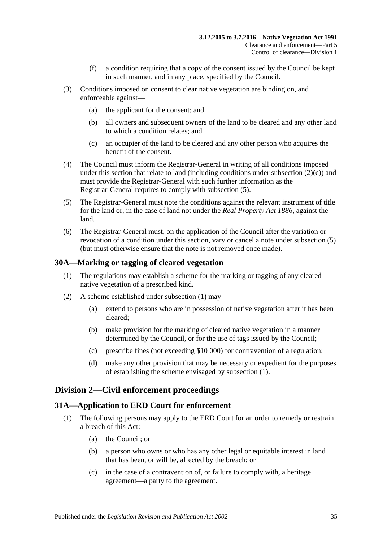- (f) a condition requiring that a copy of the consent issued by the Council be kept in such manner, and in any place, specified by the Council.
- (3) Conditions imposed on consent to clear native vegetation are binding on, and enforceable against—
	- (a) the applicant for the consent; and
	- (b) all owners and subsequent owners of the land to be cleared and any other land to which a condition relates; and
	- (c) an occupier of the land to be cleared and any other person who acquires the benefit of the consent.
- (4) The Council must inform the Registrar-General in writing of all conditions imposed under this section that relate to land (including conditions under [subsection](#page-33-4)  $(2)(c)$ ) and must provide the Registrar-General with such further information as the Registrar-General requires to comply with [subsection](#page-34-3) (5).
- <span id="page-34-3"></span>(5) The Registrar-General must note the conditions against the relevant instrument of title for the land or, in the case of land not under the *[Real Property Act](http://www.legislation.sa.gov.au/index.aspx?action=legref&type=act&legtitle=Real%20Property%20Act%201886) 1886*, against the land.
- (6) The Registrar-General must, on the application of the Council after the variation or revocation of a condition under this section, vary or cancel a note under [subsection](#page-34-3) (5) (but must otherwise ensure that the note is not removed once made).

#### <span id="page-34-4"></span><span id="page-34-0"></span>**30A—Marking or tagging of cleared vegetation**

- (1) The regulations may establish a scheme for the marking or tagging of any cleared native vegetation of a prescribed kind.
- (2) A scheme established under [subsection](#page-34-4) (1) may—
	- (a) extend to persons who are in possession of native vegetation after it has been cleared;
	- (b) make provision for the marking of cleared native vegetation in a manner determined by the Council, or for the use of tags issued by the Council;
	- (c) prescribe fines (not exceeding \$10 000) for contravention of a regulation;
	- (d) make any other provision that may be necessary or expedient for the purposes of establishing the scheme envisaged by [subsection](#page-34-4) (1).

## <span id="page-34-1"></span>**Division 2—Civil enforcement proceedings**

#### <span id="page-34-2"></span>**31A—Application to ERD Court for enforcement**

- (1) The following persons may apply to the ERD Court for an order to remedy or restrain a breach of this Act:
	- (a) the Council; or
	- (b) a person who owns or who has any other legal or equitable interest in land that has been, or will be, affected by the breach; or
	- (c) in the case of a contravention of, or failure to comply with, a heritage agreement—a party to the agreement.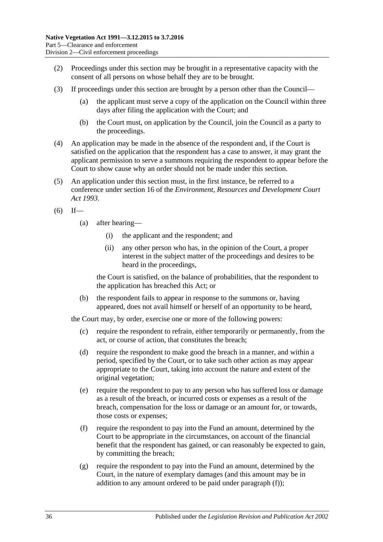- (2) Proceedings under this section may be brought in a representative capacity with the consent of all persons on whose behalf they are to be brought.
- (3) If proceedings under this section are brought by a person other than the Council—
	- (a) the applicant must serve a copy of the application on the Council within three days after filing the application with the Court; and
	- (b) the Court must, on application by the Council, join the Council as a party to the proceedings.
- (4) An application may be made in the absence of the respondent and, if the Court is satisfied on the application that the respondent has a case to answer, it may grant the applicant permission to serve a summons requiring the respondent to appear before the Court to show cause why an order should not be made under this section.
- <span id="page-35-3"></span>(5) An application under this section must, in the first instance, be referred to a conference under section 16 of the *[Environment, Resources and Development Court](http://www.legislation.sa.gov.au/index.aspx?action=legref&type=act&legtitle=Environment%20Resources%20and%20Development%20Court%20Act%201993)  Act [1993](http://www.legislation.sa.gov.au/index.aspx?action=legref&type=act&legtitle=Environment%20Resources%20and%20Development%20Court%20Act%201993)*.
- $(6)$  If—
	- (a) after hearing—
		- (i) the applicant and the respondent; and
		- (ii) any other person who has, in the opinion of the Court, a proper interest in the subject matter of the proceedings and desires to be heard in the proceedings,

the Court is satisfied, on the balance of probabilities, that the respondent to the application has breached this Act; or

(b) the respondent fails to appear in response to the summons or, having appeared, does not avail himself or herself of an opportunity to be heard,

the Court may, by order, exercise one or more of the following powers:

- (c) require the respondent to refrain, either temporarily or permanently, from the act, or course of action, that constitutes the breach;
- <span id="page-35-2"></span>(d) require the respondent to make good the breach in a manner, and within a period, specified by the Court, or to take such other action as may appear appropriate to the Court, taking into account the nature and extent of the original vegetation;
- (e) require the respondent to pay to any person who has suffered loss or damage as a result of the breach, or incurred costs or expenses as a result of the breach, compensation for the loss or damage or an amount for, or towards, those costs or expenses;
- <span id="page-35-0"></span>(f) require the respondent to pay into the Fund an amount, determined by the Court to be appropriate in the circumstances, on account of the financial benefit that the respondent has gained, or can reasonably be expected to gain, by committing the breach;
- <span id="page-35-1"></span>(g) require the respondent to pay into the Fund an amount, determined by the Court, in the nature of exemplary damages (and this amount may be in addition to any amount ordered to be paid under [paragraph](#page-35-0) (f));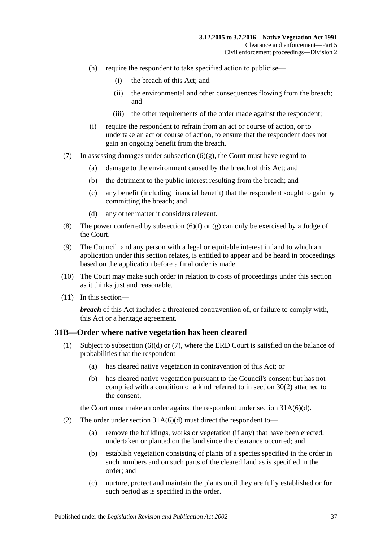- (h) require the respondent to take specified action to publicise—
	- (i) the breach of this Act; and
	- (ii) the environmental and other consequences flowing from the breach; and
	- (iii) the other requirements of the order made against the respondent;
- (i) require the respondent to refrain from an act or course of action, or to undertake an act or course of action, to ensure that the respondent does not gain an ongoing benefit from the breach.
- (7) In assessing damages under [subsection](#page-35-1)  $(6)(g)$ , the Court must have regard to-
	- (a) damage to the environment caused by the breach of this Act; and
	- (b) the detriment to the public interest resulting from the breach; and
	- (c) any benefit (including financial benefit) that the respondent sought to gain by committing the breach; and
	- (d) any other matter it considers relevant.
- (8) The power conferred by [subsection](#page-35-0) (6)(f) or [\(g\)](#page-35-1) can only be exercised by a Judge of the Court.
- (9) The Council, and any person with a legal or equitable interest in land to which an application under this section relates, is entitled to appear and be heard in proceedings based on the application before a final order is made.
- (10) The Court may make such order in relation to costs of proceedings under this section as it thinks just and reasonable.
- (11) In this section—

*breach* of this Act includes a threatened contravention of, or failure to comply with, this Act or a heritage agreement.

## <span id="page-36-1"></span><span id="page-36-0"></span>**31B—Order where native vegetation has been cleared**

- (1) Subject to [subsection](#page-37-0) (6)(d) or [\(7\),](#page-37-1) where the ERD Court is satisfied on the balance of probabilities that the respondent—
	- (a) has cleared native vegetation in contravention of this Act; or
	- (b) has cleared native vegetation pursuant to the Council's consent but has not complied with a condition of a kind referred to in [section](#page-33-5) 30(2) attached to the consent,

the Court must make an order against the respondent under section [31A\(6\)\(d\).](#page-35-2)

- (2) The order under section  $31A(6)(d)$  must direct the respondent to-
	- (a) remove the buildings, works or vegetation (if any) that have been erected, undertaken or planted on the land since the clearance occurred; and
	- (b) establish vegetation consisting of plants of a species specified in the order in such numbers and on such parts of the cleared land as is specified in the order; and
	- (c) nurture, protect and maintain the plants until they are fully established or for such period as is specified in the order.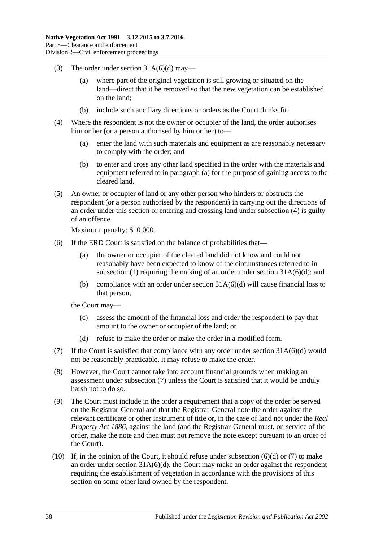- (3) The order under section  $31A(6)(d)$  may—
	- (a) where part of the original vegetation is still growing or situated on the land—direct that it be removed so that the new vegetation can be established on the land;
	- (b) include such ancillary directions or orders as the Court thinks fit.
- <span id="page-37-3"></span><span id="page-37-2"></span>(4) Where the respondent is not the owner or occupier of the land, the order authorises him or her (or a person authorised by him or her) to—
	- (a) enter the land with such materials and equipment as are reasonably necessary to comply with the order; and
	- (b) to enter and cross any other land specified in the order with the materials and equipment referred to in [paragraph](#page-37-2) (a) for the purpose of gaining access to the cleared land.
- <span id="page-37-4"></span>(5) An owner or occupier of land or any other person who hinders or obstructs the respondent (or a person authorised by the respondent) in carrying out the directions of an order under this section or entering and crossing land under [subsection](#page-37-3) (4) is guilty of an offence.

Maximum penalty: \$10 000.

- (6) If the ERD Court is satisfied on the balance of probabilities that—
	- (a) the owner or occupier of the cleared land did not know and could not reasonably have been expected to know of the circumstances referred to in [subsection](#page-36-1) (1) requiring the making of an order under section  $31A(6)(d)$ ; and
	- (b) compliance with an order under section  $31A(6)(d)$  will cause financial loss to that person,

the Court may—

- (c) assess the amount of the financial loss and order the respondent to pay that amount to the owner or occupier of the land; or
- (d) refuse to make the order or make the order in a modified form.
- <span id="page-37-1"></span><span id="page-37-0"></span>(7) If the Court is satisfied that compliance with any order under section [31A\(6\)\(d\)](#page-35-2) would not be reasonably practicable, it may refuse to make the order.
- (8) However, the Court cannot take into account financial grounds when making an assessment under [subsection](#page-37-1) (7) unless the Court is satisfied that it would be unduly harsh not to do so.
- (9) The Court must include in the order a requirement that a copy of the order be served on the Registrar-General and that the Registrar-General note the order against the relevant certificate or other instrument of title or, in the case of land not under the *[Real](http://www.legislation.sa.gov.au/index.aspx?action=legref&type=act&legtitle=Real%20Property%20Act%201886)  [Property Act](http://www.legislation.sa.gov.au/index.aspx?action=legref&type=act&legtitle=Real%20Property%20Act%201886) 1886*, against the land (and the Registrar-General must, on service of the order, make the note and then must not remove the note except pursuant to an order of the Court).
- (10) If, in the opinion of the Court, it should refuse under [subsection](#page-37-0) (6)(d) or [\(7\)](#page-37-1) to make an order under section  $31A(6)(d)$ , the Court may make an order against the respondent requiring the establishment of vegetation in accordance with the provisions of this section on some other land owned by the respondent.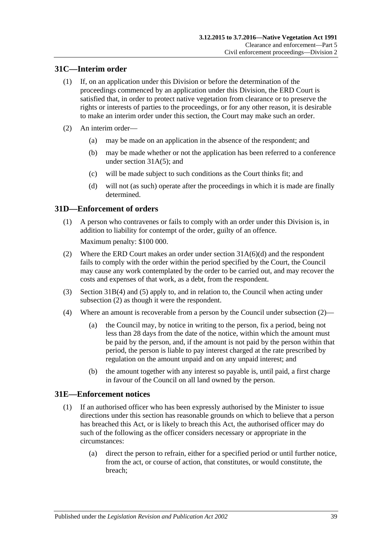## <span id="page-38-0"></span>**31C—Interim order**

- (1) If, on an application under this Division or before the determination of the proceedings commenced by an application under this Division, the ERD Court is satisfied that, in order to protect native vegetation from clearance or to preserve the rights or interests of parties to the proceedings, or for any other reason, it is desirable to make an interim order under this section, the Court may make such an order.
- (2) An interim order—
	- (a) may be made on an application in the absence of the respondent; and
	- (b) may be made whether or not the application has been referred to a conference under [section](#page-35-3) 31A(5); and
	- (c) will be made subject to such conditions as the Court thinks fit; and
	- (d) will not (as such) operate after the proceedings in which it is made are finally determined.

## <span id="page-38-1"></span>**31D—Enforcement of orders**

(1) A person who contravenes or fails to comply with an order under this Division is, in addition to liability for contempt of the order, guilty of an offence.

Maximum penalty: \$100 000.

- <span id="page-38-3"></span>(2) Where the ERD Court makes an order under section [31A\(6\)\(d\)](#page-35-2) and the respondent fails to comply with the order within the period specified by the Court, the Council may cause any work contemplated by the order to be carried out, and may recover the costs and expenses of that work, as a debt, from the respondent.
- (3) [Section](#page-37-3) 31B(4) and [\(5\)](#page-37-4) apply to, and in relation to, the Council when acting under [subsection](#page-38-3) (2) as though it were the respondent.
- <span id="page-38-5"></span>(4) Where an amount is recoverable from a person by the Council under [subsection](#page-38-3) (2)—
	- (a) the Council may, by notice in writing to the person, fix a period, being not less than 28 days from the date of the notice, within which the amount must be paid by the person, and, if the amount is not paid by the person within that period, the person is liable to pay interest charged at the rate prescribed by regulation on the amount unpaid and on any unpaid interest; and
	- (b) the amount together with any interest so payable is, until paid, a first charge in favour of the Council on all land owned by the person.

## <span id="page-38-4"></span><span id="page-38-2"></span>**31E—Enforcement notices**

- (1) If an authorised officer who has been expressly authorised by the Minister to issue directions under this section has reasonable grounds on which to believe that a person has breached this Act, or is likely to breach this Act, the authorised officer may do such of the following as the officer considers necessary or appropriate in the circumstances:
	- (a) direct the person to refrain, either for a specified period or until further notice, from the act, or course of action, that constitutes, or would constitute, the breach;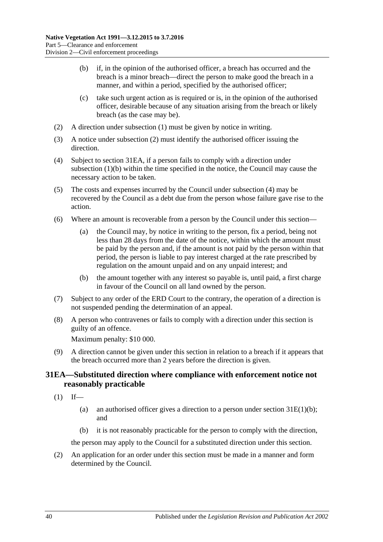- <span id="page-39-2"></span>(b) if, in the opinion of the authorised officer, a breach has occurred and the breach is a minor breach—direct the person to make good the breach in a manner, and within a period, specified by the authorised officer;
- (c) take such urgent action as is required or is, in the opinion of the authorised officer, desirable because of any situation arising from the breach or likely breach (as the case may be).
- <span id="page-39-1"></span>(2) A direction under [subsection](#page-38-4) (1) must be given by notice in writing.
- (3) A notice under [subsection](#page-39-1) (2) must identify the authorised officer issuing the direction.
- <span id="page-39-3"></span>(4) Subject to [section](#page-39-0) 31EA, if a person fails to comply with a direction under [subsection](#page-39-2) (1)(b) within the time specified in the notice, the Council may cause the necessary action to be taken.
- (5) The costs and expenses incurred by the Council under [subsection](#page-39-3) (4) may be recovered by the Council as a debt due from the person whose failure gave rise to the action.
- <span id="page-39-5"></span>(6) Where an amount is recoverable from a person by the Council under this section—
	- (a) the Council may, by notice in writing to the person, fix a period, being not less than 28 days from the date of the notice, within which the amount must be paid by the person and, if the amount is not paid by the person within that period, the person is liable to pay interest charged at the rate prescribed by regulation on the amount unpaid and on any unpaid interest; and
	- (b) the amount together with any interest so payable is, until paid, a first charge in favour of the Council on all land owned by the person.
- (7) Subject to any order of the ERD Court to the contrary, the operation of a direction is not suspended pending the determination of an appeal.
- (8) A person who contravenes or fails to comply with a direction under this section is guilty of an offence.

Maximum penalty: \$10 000.

<span id="page-39-4"></span>(9) A direction cannot be given under this section in relation to a breach if it appears that the breach occurred more than 2 years before the direction is given.

## <span id="page-39-0"></span>**31EA—Substituted direction where compliance with enforcement notice not reasonably practicable**

- $(1)$  If—
	- (a) an authorised officer gives a direction to a person under section  $31E(1)(b)$ ; and
	- (b) it is not reasonably practicable for the person to comply with the direction,

the person may apply to the Council for a substituted direction under this section.

(2) An application for an order under this section must be made in a manner and form determined by the Council.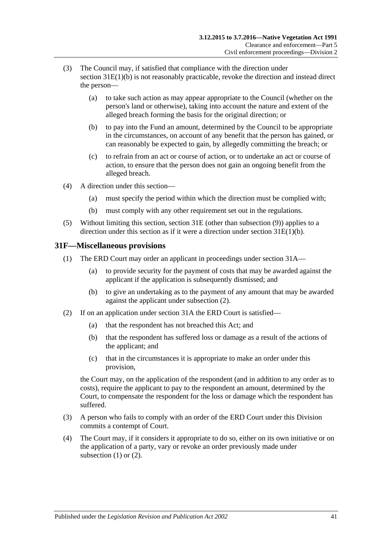- (3) The Council may, if satisfied that compliance with the direction under section [31E\(1\)\(b\)](#page-39-2) is not reasonably practicable, revoke the direction and instead direct the person—
	- (a) to take such action as may appear appropriate to the Council (whether on the person's land or otherwise), taking into account the nature and extent of the alleged breach forming the basis for the original direction; or
	- (b) to pay into the Fund an amount, determined by the Council to be appropriate in the circumstances, on account of any benefit that the person has gained, or can reasonably be expected to gain, by allegedly committing the breach; or
	- (c) to refrain from an act or course of action, or to undertake an act or course of action, to ensure that the person does not gain an ongoing benefit from the alleged breach.
- (4) A direction under this section—
	- (a) must specify the period within which the direction must be complied with;
	- (b) must comply with any other requirement set out in the regulations.
- (5) Without limiting this section, [section](#page-38-2) 31E (other than [subsection](#page-39-4) (9)) applies to a direction under this section as if it were a direction under section [31E\(1\)\(b\).](#page-39-2)

## <span id="page-40-2"></span><span id="page-40-0"></span>**31F—Miscellaneous provisions**

- (1) The ERD Court may order an applicant in proceedings under [section](#page-34-2) 31A—
	- (a) to provide security for the payment of costs that may be awarded against the applicant if the application is subsequently dismissed; and
	- (b) to give an undertaking as to the payment of any amount that may be awarded against the applicant under [subsection](#page-40-1) (2).
- <span id="page-40-1"></span>(2) If on an application under [section](#page-34-2) 31A the ERD Court is satisfied—
	- (a) that the respondent has not breached this Act; and
	- (b) that the respondent has suffered loss or damage as a result of the actions of the applicant; and
	- (c) that in the circumstances it is appropriate to make an order under this provision,

the Court may, on the application of the respondent (and in addition to any order as to costs), require the applicant to pay to the respondent an amount, determined by the Court, to compensate the respondent for the loss or damage which the respondent has suffered.

- (3) A person who fails to comply with an order of the ERD Court under this Division commits a contempt of Court.
- (4) The Court may, if it considers it appropriate to do so, either on its own initiative or on the application of a party, vary or revoke an order previously made under [subsection](#page-40-2)  $(1)$  or  $(2)$ .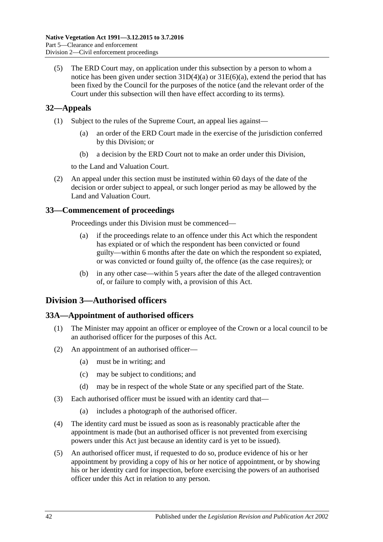(5) The ERD Court may, on application under this subsection by a person to whom a notice has been given under section  $31D(4)(a)$  or  $31E(6)(a)$ , extend the period that has been fixed by the Council for the purposes of the notice (and the relevant order of the Court under this subsection will then have effect according to its terms).

# <span id="page-41-0"></span>**32—Appeals**

- (1) Subject to the rules of the Supreme Court, an appeal lies against—
	- (a) an order of the ERD Court made in the exercise of the jurisdiction conferred by this Division; or
	- (b) a decision by the ERD Court not to make an order under this Division,

to the Land and Valuation Court.

(2) An appeal under this section must be instituted within 60 days of the date of the decision or order subject to appeal, or such longer period as may be allowed by the Land and Valuation Court.

## <span id="page-41-1"></span>**33—Commencement of proceedings**

Proceedings under this Division must be commenced—

- (a) if the proceedings relate to an offence under this Act which the respondent has expiated or of which the respondent has been convicted or found guilty—within 6 months after the date on which the respondent so expiated, or was convicted or found guilty of, the offence (as the case requires); or
- (b) in any other case—within 5 years after the date of the alleged contravention of, or failure to comply with, a provision of this Act.

# <span id="page-41-2"></span>**Division 3—Authorised officers**

## <span id="page-41-3"></span>**33A—Appointment of authorised officers**

- (1) The Minister may appoint an officer or employee of the Crown or a local council to be an authorised officer for the purposes of this Act.
- (2) An appointment of an authorised officer—
	- (a) must be in writing; and
	- (c) may be subject to conditions; and
	- (d) may be in respect of the whole State or any specified part of the State.
- (3) Each authorised officer must be issued with an identity card that—
	- (a) includes a photograph of the authorised officer.
- (4) The identity card must be issued as soon as is reasonably practicable after the appointment is made (but an authorised officer is not prevented from exercising powers under this Act just because an identity card is yet to be issued).
- (5) An authorised officer must, if requested to do so, produce evidence of his or her appointment by providing a copy of his or her notice of appointment, or by showing his or her identity card for inspection, before exercising the powers of an authorised officer under this Act in relation to any person.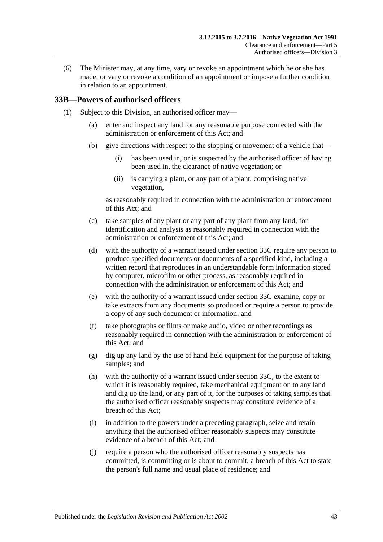(6) The Minister may, at any time, vary or revoke an appointment which he or she has made, or vary or revoke a condition of an appointment or impose a further condition in relation to an appointment.

## <span id="page-42-2"></span><span id="page-42-0"></span>**33B—Powers of authorised officers**

- <span id="page-42-1"></span>(1) Subject to this Division, an authorised officer may—
	- (a) enter and inspect any land for any reasonable purpose connected with the administration or enforcement of this Act; and
	- (b) give directions with respect to the stopping or movement of a vehicle that—
		- (i) has been used in, or is suspected by the authorised officer of having been used in, the clearance of native vegetation; or
		- (ii) is carrying a plant, or any part of a plant, comprising native vegetation,

as reasonably required in connection with the administration or enforcement of this Act; and

- (c) take samples of any plant or any part of any plant from any land, for identification and analysis as reasonably required in connection with the administration or enforcement of this Act; and
- <span id="page-42-3"></span>(d) with the authority of a warrant issued under [section](#page-44-0) 33C require any person to produce specified documents or documents of a specified kind, including a written record that reproduces in an understandable form information stored by computer, microfilm or other process, as reasonably required in connection with the administration or enforcement of this Act; and
- <span id="page-42-4"></span>(e) with the authority of a warrant issued under [section](#page-44-0) 33C examine, copy or take extracts from any documents so produced or require a person to provide a copy of any such document or information; and
- (f) take photographs or films or make audio, video or other recordings as reasonably required in connection with the administration or enforcement of this Act; and
- (g) dig up any land by the use of hand-held equipment for the purpose of taking samples; and
- <span id="page-42-5"></span>(h) with the authority of a warrant issued under [section](#page-44-0) 33C, to the extent to which it is reasonably required, take mechanical equipment on to any land and dig up the land, or any part of it, for the purposes of taking samples that the authorised officer reasonably suspects may constitute evidence of a breach of this Act;
- (i) in addition to the powers under a preceding paragraph, seize and retain anything that the authorised officer reasonably suspects may constitute evidence of a breach of this Act; and
- (j) require a person who the authorised officer reasonably suspects has committed, is committing or is about to commit, a breach of this Act to state the person's full name and usual place of residence; and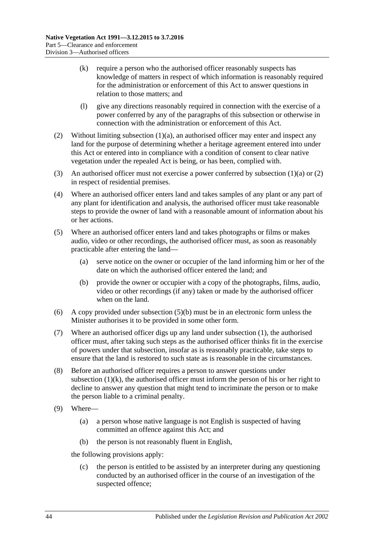- <span id="page-43-2"></span>(k) require a person who the authorised officer reasonably suspects has knowledge of matters in respect of which information is reasonably required for the administration or enforcement of this Act to answer questions in relation to those matters; and
- (l) give any directions reasonably required in connection with the exercise of a power conferred by any of the paragraphs of this subsection or otherwise in connection with the administration or enforcement of this Act.
- <span id="page-43-0"></span>(2) Without limiting [subsection](#page-42-1) (1)(a), an authorised officer may enter and inspect any land for the purpose of determining whether a heritage agreement entered into under this Act or entered into in compliance with a condition of consent to clear native vegetation under the repealed Act is being, or has been, complied with.
- (3) An authorised officer must not exercise a power conferred by [subsection](#page-42-1)  $(1)(a)$  or  $(2)$ in respect of residential premises.
- (4) Where an authorised officer enters land and takes samples of any plant or any part of any plant for identification and analysis, the authorised officer must take reasonable steps to provide the owner of land with a reasonable amount of information about his or her actions.
- (5) Where an authorised officer enters land and takes photographs or films or makes audio, video or other recordings, the authorised officer must, as soon as reasonably practicable after entering the land—
	- (a) serve notice on the owner or occupier of the land informing him or her of the date on which the authorised officer entered the land; and
	- (b) provide the owner or occupier with a copy of the photographs, films, audio, video or other recordings (if any) taken or made by the authorised officer when on the land.
- <span id="page-43-1"></span>(6) A copy provided under [subsection](#page-43-1) (5)(b) must be in an electronic form unless the Minister authorises it to be provided in some other form.
- (7) Where an authorised officer digs up any land under [subsection](#page-42-2) (1), the authorised officer must, after taking such steps as the authorised officer thinks fit in the exercise of powers under that subsection, insofar as is reasonably practicable, take steps to ensure that the land is restored to such state as is reasonable in the circumstances.
- (8) Before an authorised officer requires a person to answer questions under [subsection](#page-43-2)  $(1)(k)$ , the authorised officer must inform the person of his or her right to decline to answer any question that might tend to incriminate the person or to make the person liable to a criminal penalty.
- (9) Where—
	- (a) a person whose native language is not English is suspected of having committed an offence against this Act; and
	- (b) the person is not reasonably fluent in English,

the following provisions apply:

(c) the person is entitled to be assisted by an interpreter during any questioning conducted by an authorised officer in the course of an investigation of the suspected offence;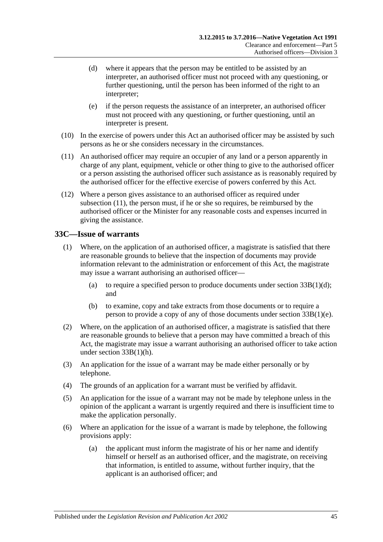- (d) where it appears that the person may be entitled to be assisted by an interpreter, an authorised officer must not proceed with any questioning, or further questioning, until the person has been informed of the right to an interpreter;
- (e) if the person requests the assistance of an interpreter, an authorised officer must not proceed with any questioning, or further questioning, until an interpreter is present.
- (10) In the exercise of powers under this Act an authorised officer may be assisted by such persons as he or she considers necessary in the circumstances.
- <span id="page-44-1"></span>(11) An authorised officer may require an occupier of any land or a person apparently in charge of any plant, equipment, vehicle or other thing to give to the authorised officer or a person assisting the authorised officer such assistance as is reasonably required by the authorised officer for the effective exercise of powers conferred by this Act.
- (12) Where a person gives assistance to an authorised officer as required under [subsection](#page-44-1) (11), the person must, if he or she so requires, be reimbursed by the authorised officer or the Minister for any reasonable costs and expenses incurred in giving the assistance.

## <span id="page-44-0"></span>**33C—Issue of warrants**

- (1) Where, on the application of an authorised officer, a magistrate is satisfied that there are reasonable grounds to believe that the inspection of documents may provide information relevant to the administration or enforcement of this Act, the magistrate may issue a warrant authorising an authorised officer—
	- (a) to require a specified person to produce documents under section  $33B(1)(d)$ ; and
	- (b) to examine, copy and take extracts from those documents or to require a person to provide a copy of any of those documents under section [33B\(1\)\(e\).](#page-42-4)
- (2) Where, on the application of an authorised officer, a magistrate is satisfied that there are reasonable grounds to believe that a person may have committed a breach of this Act, the magistrate may issue a warrant authorising an authorised officer to take action under section [33B\(1\)\(h\).](#page-42-5)
- (3) An application for the issue of a warrant may be made either personally or by telephone.
- (4) The grounds of an application for a warrant must be verified by affidavit.
- (5) An application for the issue of a warrant may not be made by telephone unless in the opinion of the applicant a warrant is urgently required and there is insufficient time to make the application personally.
- (6) Where an application for the issue of a warrant is made by telephone, the following provisions apply:
	- (a) the applicant must inform the magistrate of his or her name and identify himself or herself as an authorised officer, and the magistrate, on receiving that information, is entitled to assume, without further inquiry, that the applicant is an authorised officer; and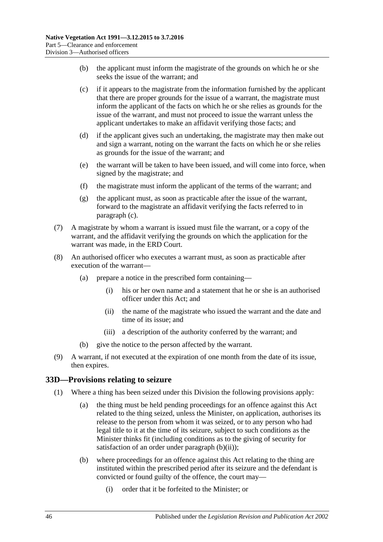- (b) the applicant must inform the magistrate of the grounds on which he or she seeks the issue of the warrant; and
- <span id="page-45-1"></span>(c) if it appears to the magistrate from the information furnished by the applicant that there are proper grounds for the issue of a warrant, the magistrate must inform the applicant of the facts on which he or she relies as grounds for the issue of the warrant, and must not proceed to issue the warrant unless the applicant undertakes to make an affidavit verifying those facts; and
- (d) if the applicant gives such an undertaking, the magistrate may then make out and sign a warrant, noting on the warrant the facts on which he or she relies as grounds for the issue of the warrant; and
- (e) the warrant will be taken to have been issued, and will come into force, when signed by the magistrate; and
- (f) the magistrate must inform the applicant of the terms of the warrant; and
- (g) the applicant must, as soon as practicable after the issue of the warrant, forward to the magistrate an affidavit verifying the facts referred to in [paragraph](#page-45-1) (c).
- (7) A magistrate by whom a warrant is issued must file the warrant, or a copy of the warrant, and the affidavit verifying the grounds on which the application for the warrant was made, in the ERD Court.
- (8) An authorised officer who executes a warrant must, as soon as practicable after execution of the warrant—
	- (a) prepare a notice in the prescribed form containing—
		- (i) his or her own name and a statement that he or she is an authorised officer under this Act; and
		- (ii) the name of the magistrate who issued the warrant and the date and time of its issue; and
		- (iii) a description of the authority conferred by the warrant; and
	- (b) give the notice to the person affected by the warrant.
- (9) A warrant, if not executed at the expiration of one month from the date of its issue, then expires.

#### <span id="page-45-4"></span><span id="page-45-0"></span>**33D—Provisions relating to seizure**

- <span id="page-45-3"></span><span id="page-45-2"></span>(1) Where a thing has been seized under this Division the following provisions apply:
	- (a) the thing must be held pending proceedings for an offence against this Act related to the thing seized, unless the Minister, on application, authorises its release to the person from whom it was seized, or to any person who had legal title to it at the time of its seizure, subject to such conditions as the Minister thinks fit (including conditions as to the giving of security for satisfaction of an order under [paragraph](#page-46-1)  $(b)(ii)$ ;
	- (b) where proceedings for an offence against this Act relating to the thing are instituted within the prescribed period after its seizure and the defendant is convicted or found guilty of the offence, the court may—
		- (i) order that it be forfeited to the Minister; or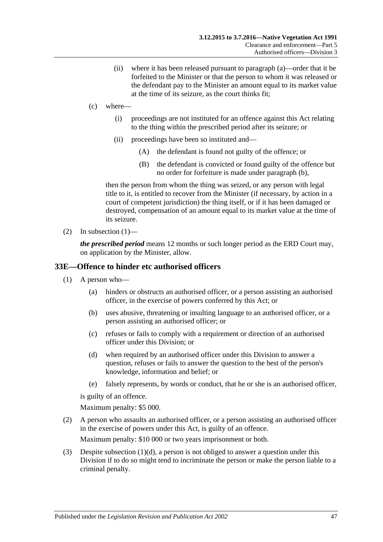- (ii) where it has been released pursuant to [paragraph](#page-45-2) (a)—order that it be forfeited to the Minister or that the person to whom it was released or the defendant pay to the Minister an amount equal to its market value at the time of its seizure, as the court thinks fit;
- <span id="page-46-1"></span>(c) where—
	- (i) proceedings are not instituted for an offence against this Act relating to the thing within the prescribed period after its seizure; or
	- (ii) proceedings have been so instituted and—
		- (A) the defendant is found not guilty of the offence; or
		- (B) the defendant is convicted or found guilty of the offence but no order for forfeiture is made under [paragraph](#page-45-3) (b),

then the person from whom the thing was seized, or any person with legal title to it, is entitled to recover from the Minister (if necessary, by action in a court of competent jurisdiction) the thing itself, or if it has been damaged or destroyed, compensation of an amount equal to its market value at the time of its seizure.

(2) In [subsection](#page-45-4)  $(1)$ —

*the prescribed period* means 12 months or such longer period as the ERD Court may, on application by the Minister, allow.

#### <span id="page-46-0"></span>**33E—Offence to hinder etc authorised officers**

- (1) A person who—
	- (a) hinders or obstructs an authorised officer, or a person assisting an authorised officer, in the exercise of powers conferred by this Act; or
	- (b) uses abusive, threatening or insulting language to an authorised officer, or a person assisting an authorised officer; or
	- (c) refuses or fails to comply with a requirement or direction of an authorised officer under this Division; or
	- (d) when required by an authorised officer under this Division to answer a question, refuses or fails to answer the question to the best of the person's knowledge, information and belief; or
	- (e) falsely represents, by words or conduct, that he or she is an authorised officer,

<span id="page-46-2"></span>is guilty of an offence.

Maximum penalty: \$5 000.

(2) A person who assaults an authorised officer, or a person assisting an authorised officer in the exercise of powers under this Act, is guilty of an offence.

Maximum penalty: \$10 000 or two years imprisonment or both.

(3) Despite [subsection](#page-46-2) (1)(d), a person is not obliged to answer a question under this Division if to do so might tend to incriminate the person or make the person liable to a criminal penalty.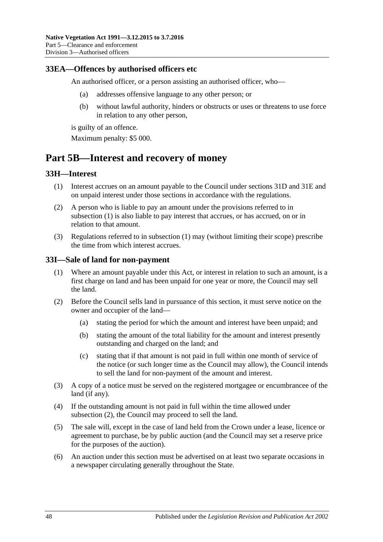#### <span id="page-47-0"></span>**33EA—Offences by authorised officers etc**

An authorised officer, or a person assisting an authorised officer, who—

- (a) addresses offensive language to any other person; or
- (b) without lawful authority, hinders or obstructs or uses or threatens to use force in relation to any other person,

is guilty of an offence.

Maximum penalty: \$5 000.

# <span id="page-47-1"></span>**Part 5B—Interest and recovery of money**

## <span id="page-47-4"></span><span id="page-47-2"></span>**33H—Interest**

- (1) Interest accrues on an amount payable to the Council under [sections](#page-38-1) 31D and [31E](#page-38-2) and on unpaid interest under those sections in accordance with the regulations.
- (2) A person who is liable to pay an amount under the provisions referred to in [subsection](#page-47-4) (1) is also liable to pay interest that accrues, or has accrued, on or in relation to that amount.
- (3) Regulations referred to in [subsection](#page-47-4) (1) may (without limiting their scope) prescribe the time from which interest accrues.

#### <span id="page-47-3"></span>**33I—Sale of land for non-payment**

- (1) Where an amount payable under this Act, or interest in relation to such an amount, is a first charge on land and has been unpaid for one year or more, the Council may sell the land.
- <span id="page-47-5"></span>(2) Before the Council sells land in pursuance of this section, it must serve notice on the owner and occupier of the land—
	- (a) stating the period for which the amount and interest have been unpaid; and
	- (b) stating the amount of the total liability for the amount and interest presently outstanding and charged on the land; and
	- (c) stating that if that amount is not paid in full within one month of service of the notice (or such longer time as the Council may allow), the Council intends to sell the land for non-payment of the amount and interest.
- (3) A copy of a notice must be served on the registered mortgagee or encumbrancee of the land (if any).
- (4) If the outstanding amount is not paid in full within the time allowed under [subsection](#page-47-5) (2), the Council may proceed to sell the land.
- (5) The sale will, except in the case of land held from the Crown under a lease, licence or agreement to purchase, be by public auction (and the Council may set a reserve price for the purposes of the auction).
- (6) An auction under this section must be advertised on at least two separate occasions in a newspaper circulating generally throughout the State.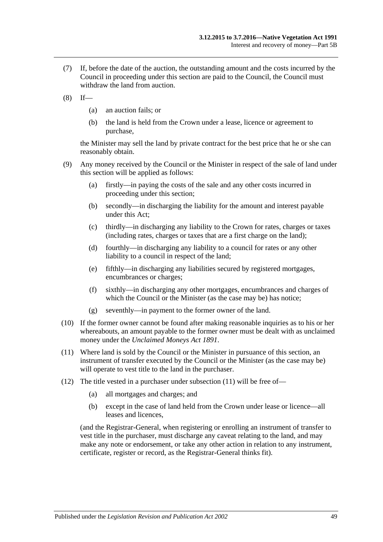- (7) If, before the date of the auction, the outstanding amount and the costs incurred by the Council in proceeding under this section are paid to the Council, the Council must withdraw the land from auction.
- $(8)$  If—
	- (a) an auction fails; or
	- (b) the land is held from the Crown under a lease, licence or agreement to purchase,

the Minister may sell the land by private contract for the best price that he or she can reasonably obtain.

- (9) Any money received by the Council or the Minister in respect of the sale of land under this section will be applied as follows:
	- (a) firstly—in paying the costs of the sale and any other costs incurred in proceeding under this section;
	- (b) secondly—in discharging the liability for the amount and interest payable under this Act;
	- (c) thirdly—in discharging any liability to the Crown for rates, charges or taxes (including rates, charges or taxes that are a first charge on the land);
	- (d) fourthly—in discharging any liability to a council for rates or any other liability to a council in respect of the land;
	- (e) fifthly—in discharging any liabilities secured by registered mortgages, encumbrances or charges;
	- (f) sixthly—in discharging any other mortgages, encumbrances and charges of which the Council or the Minister (as the case may be) has notice;
	- (g) seventhly—in payment to the former owner of the land.
- (10) If the former owner cannot be found after making reasonable inquiries as to his or her whereabouts, an amount payable to the former owner must be dealt with as unclaimed money under the *[Unclaimed Moneys Act](http://www.legislation.sa.gov.au/index.aspx?action=legref&type=act&legtitle=Unclaimed%20Moneys%20Act%201891) 1891*.
- <span id="page-48-0"></span>(11) Where land is sold by the Council or the Minister in pursuance of this section, an instrument of transfer executed by the Council or the Minister (as the case may be) will operate to vest title to the land in the purchaser.
- (12) The title vested in a purchaser under [subsection](#page-48-0) (11) will be free of—
	- (a) all mortgages and charges; and
	- (b) except in the case of land held from the Crown under lease or licence—all leases and licences,

(and the Registrar-General, when registering or enrolling an instrument of transfer to vest title in the purchaser, must discharge any caveat relating to the land, and may make any note or endorsement, or take any other action in relation to any instrument, certificate, register or record, as the Registrar-General thinks fit).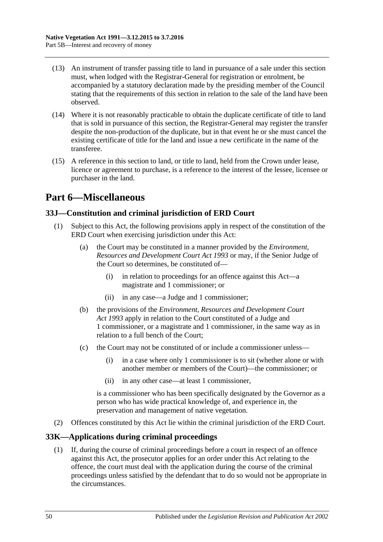- (13) An instrument of transfer passing title to land in pursuance of a sale under this section must, when lodged with the Registrar-General for registration or enrolment, be accompanied by a statutory declaration made by the presiding member of the Council stating that the requirements of this section in relation to the sale of the land have been observed.
- (14) Where it is not reasonably practicable to obtain the duplicate certificate of title to land that is sold in pursuance of this section, the Registrar-General may register the transfer despite the non-production of the duplicate, but in that event he or she must cancel the existing certificate of title for the land and issue a new certificate in the name of the transferee.
- (15) A reference in this section to land, or title to land, held from the Crown under lease, licence or agreement to purchase, is a reference to the interest of the lessee, licensee or purchaser in the land.

# <span id="page-49-0"></span>**Part 6—Miscellaneous**

# <span id="page-49-1"></span>**33J—Constitution and criminal jurisdiction of ERD Court**

- (1) Subject to this Act, the following provisions apply in respect of the constitution of the ERD Court when exercising jurisdiction under this Act:
	- (a) the Court may be constituted in a manner provided by the *[Environment,](http://www.legislation.sa.gov.au/index.aspx?action=legref&type=act&legtitle=Environment%20Resources%20and%20Development%20Court%20Act%201993)  [Resources and Development Court Act](http://www.legislation.sa.gov.au/index.aspx?action=legref&type=act&legtitle=Environment%20Resources%20and%20Development%20Court%20Act%201993) 1993* or may, if the Senior Judge of the Court so determines, be constituted of—
		- (i) in relation to proceedings for an offence against this Act—a magistrate and 1 commissioner; or
		- (ii) in any case—a Judge and 1 commissioner;
	- (b) the provisions of the *[Environment, Resources and Development Court](http://www.legislation.sa.gov.au/index.aspx?action=legref&type=act&legtitle=Environment%20Resources%20and%20Development%20Court%20Act%201993)  Act [1993](http://www.legislation.sa.gov.au/index.aspx?action=legref&type=act&legtitle=Environment%20Resources%20and%20Development%20Court%20Act%201993)* apply in relation to the Court constituted of a Judge and 1 commissioner, or a magistrate and 1 commissioner, in the same way as in relation to a full bench of the Court;
	- (c) the Court may not be constituted of or include a commissioner unless—
		- (i) in a case where only 1 commissioner is to sit (whether alone or with another member or members of the Court)—the commissioner; or
		- (ii) in any other case—at least 1 commissioner,

is a commissioner who has been specifically designated by the Governor as a person who has wide practical knowledge of, and experience in, the preservation and management of native vegetation.

(2) Offences constituted by this Act lie within the criminal jurisdiction of the ERD Court.

# <span id="page-49-2"></span>**33K—Applications during criminal proceedings**

(1) If, during the course of criminal proceedings before a court in respect of an offence against this Act, the prosecutor applies for an order under this Act relating to the offence, the court must deal with the application during the course of the criminal proceedings unless satisfied by the defendant that to do so would not be appropriate in the circumstances.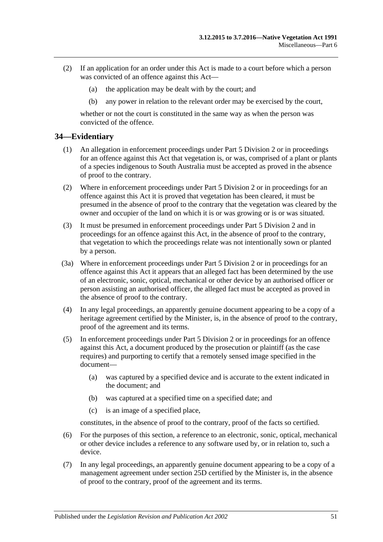- (2) If an application for an order under this Act is made to a court before which a person was convicted of an offence against this Act—
	- (a) the application may be dealt with by the court; and
	- (b) any power in relation to the relevant order may be exercised by the court,

whether or not the court is constituted in the same way as when the person was convicted of the offence.

## <span id="page-50-0"></span>**34—Evidentiary**

- (1) An allegation in enforcement proceedings under [Part 5 Division 2](#page-34-1) or in proceedings for an offence against this Act that vegetation is, or was, comprised of a plant or plants of a species indigenous to South Australia must be accepted as proved in the absence of proof to the contrary.
- (2) Where in enforcement proceedings under [Part 5 Division 2](#page-34-1) or in proceedings for an offence against this Act it is proved that vegetation has been cleared, it must be presumed in the absence of proof to the contrary that the vegetation was cleared by the owner and occupier of the land on which it is or was growing or is or was situated.
- (3) It must be presumed in enforcement proceedings under [Part 5 Division 2](#page-34-1) and in proceedings for an offence against this Act, in the absence of proof to the contrary, that vegetation to which the proceedings relate was not intentionally sown or planted by a person.
- (3a) Where in enforcement proceedings under [Part 5 Division 2](#page-34-1) or in proceedings for an offence against this Act it appears that an alleged fact has been determined by the use of an electronic, sonic, optical, mechanical or other device by an authorised officer or person assisting an authorised officer, the alleged fact must be accepted as proved in the absence of proof to the contrary.
- (4) In any legal proceedings, an apparently genuine document appearing to be a copy of a heritage agreement certified by the Minister, is, in the absence of proof to the contrary, proof of the agreement and its terms.
- (5) In enforcement proceedings under [Part 5 Division 2](#page-34-1) or in proceedings for an offence against this Act, a document produced by the prosecution or plaintiff (as the case requires) and purporting to certify that a remotely sensed image specified in the document—
	- (a) was captured by a specified device and is accurate to the extent indicated in the document; and
	- (b) was captured at a specified time on a specified date; and
	- (c) is an image of a specified place,

constitutes, in the absence of proof to the contrary, proof of the facts so certified.

- (6) For the purposes of this section, a reference to an electronic, sonic, optical, mechanical or other device includes a reference to any software used by, or in relation to, such a device.
- (7) In any legal proceedings, an apparently genuine document appearing to be a copy of a management agreement under section 25D certified by the Minister is, in the absence of proof to the contrary, proof of the agreement and its terms.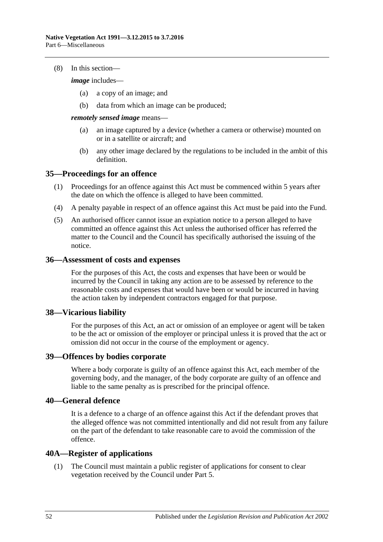#### (8) In this section—

*image* includes—

- (a) a copy of an image; and
- (b) data from which an image can be produced;

*remotely sensed image* means—

- (a) an image captured by a device (whether a camera or otherwise) mounted on or in a satellite or aircraft; and
- (b) any other image declared by the regulations to be included in the ambit of this definition.

## <span id="page-51-0"></span>**35—Proceedings for an offence**

- (1) Proceedings for an offence against this Act must be commenced within 5 years after the date on which the offence is alleged to have been committed.
- (4) A penalty payable in respect of an offence against this Act must be paid into the Fund.
- (5) An authorised officer cannot issue an expiation notice to a person alleged to have committed an offence against this Act unless the authorised officer has referred the matter to the Council and the Council has specifically authorised the issuing of the notice.

#### <span id="page-51-1"></span>**36—Assessment of costs and expenses**

For the purposes of this Act, the costs and expenses that have been or would be incurred by the Council in taking any action are to be assessed by reference to the reasonable costs and expenses that would have been or would be incurred in having the action taken by independent contractors engaged for that purpose.

## <span id="page-51-2"></span>**38—Vicarious liability**

For the purposes of this Act, an act or omission of an employee or agent will be taken to be the act or omission of the employer or principal unless it is proved that the act or omission did not occur in the course of the employment or agency.

## <span id="page-51-3"></span>**39—Offences by bodies corporate**

Where a body corporate is guilty of an offence against this Act, each member of the governing body, and the manager, of the body corporate are guilty of an offence and liable to the same penalty as is prescribed for the principal offence.

## <span id="page-51-4"></span>**40—General defence**

It is a defence to a charge of an offence against this Act if the defendant proves that the alleged offence was not committed intentionally and did not result from any failure on the part of the defendant to take reasonable care to avoid the commission of the offence.

## <span id="page-51-5"></span>**40A—Register of applications**

(1) The Council must maintain a public register of applications for consent to clear vegetation received by the Council under [Part 5.](#page-23-1)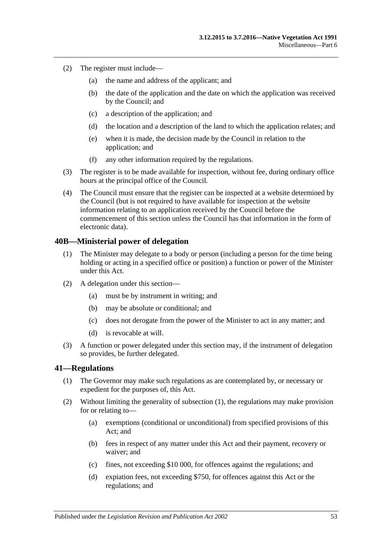- (2) The register must include—
	- (a) the name and address of the applicant; and
	- (b) the date of the application and the date on which the application was received by the Council; and
	- (c) a description of the application; and
	- (d) the location and a description of the land to which the application relates; and
	- (e) when it is made, the decision made by the Council in relation to the application; and
	- (f) any other information required by the regulations.
- (3) The register is to be made available for inspection, without fee, during ordinary office hours at the principal office of the Council.
- (4) The Council must ensure that the register can be inspected at a website determined by the Council (but is not required to have available for inspection at the website information relating to an application received by the Council before the commencement of this section unless the Council has that information in the form of electronic data).

#### <span id="page-52-0"></span>**40B—Ministerial power of delegation**

- (1) The Minister may delegate to a body or person (including a person for the time being holding or acting in a specified office or position) a function or power of the Minister under this Act.
- (2) A delegation under this section—
	- (a) must be by instrument in writing; and
	- (b) may be absolute or conditional; and
	- (c) does not derogate from the power of the Minister to act in any matter; and
	- (d) is revocable at will.
- (3) A function or power delegated under this section may, if the instrument of delegation so provides, be further delegated.

#### <span id="page-52-2"></span><span id="page-52-1"></span>**41—Regulations**

- (1) The Governor may make such regulations as are contemplated by, or necessary or expedient for the purposes of, this Act.
- (2) Without limiting the generality of [subsection](#page-52-2) (1), the regulations may make provision for or relating to—
	- (a) exemptions (conditional or unconditional) from specified provisions of this Act; and
	- (b) fees in respect of any matter under this Act and their payment, recovery or waiver; and
	- (c) fines, not exceeding \$10 000, for offences against the regulations; and
	- (d) expiation fees, not exceeding \$750, for offences against this Act or the regulations; and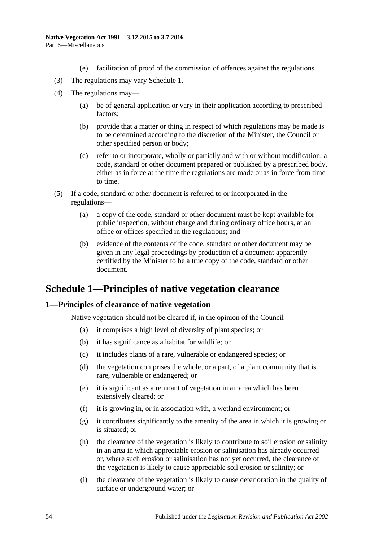- (e) facilitation of proof of the commission of offences against the regulations.
- (3) The regulations may vary [Schedule 1.](#page-53-0)
- (4) The regulations may—
	- (a) be of general application or vary in their application according to prescribed factors;
	- (b) provide that a matter or thing in respect of which regulations may be made is to be determined according to the discretion of the Minister, the Council or other specified person or body;
	- (c) refer to or incorporate, wholly or partially and with or without modification, a code, standard or other document prepared or published by a prescribed body, either as in force at the time the regulations are made or as in force from time to time.
- (5) If a code, standard or other document is referred to or incorporated in the regulations—
	- (a) a copy of the code, standard or other document must be kept available for public inspection, without charge and during ordinary office hours, at an office or offices specified in the regulations; and
	- (b) evidence of the contents of the code, standard or other document may be given in any legal proceedings by production of a document apparently certified by the Minister to be a true copy of the code, standard or other document.

# <span id="page-53-0"></span>**Schedule 1—Principles of native vegetation clearance**

## <span id="page-53-1"></span>**1—Principles of clearance of native vegetation**

Native vegetation should not be cleared if, in the opinion of the Council—

- (a) it comprises a high level of diversity of plant species; or
- (b) it has significance as a habitat for wildlife; or
- (c) it includes plants of a rare, vulnerable or endangered species; or
- (d) the vegetation comprises the whole, or a part, of a plant community that is rare, vulnerable or endangered; or
- (e) it is significant as a remnant of vegetation in an area which has been extensively cleared; or
- (f) it is growing in, or in association with, a wetland environment; or
- (g) it contributes significantly to the amenity of the area in which it is growing or is situated; or
- (h) the clearance of the vegetation is likely to contribute to soil erosion or salinity in an area in which appreciable erosion or salinisation has already occurred or, where such erosion or salinisation has not yet occurred, the clearance of the vegetation is likely to cause appreciable soil erosion or salinity; or
- (i) the clearance of the vegetation is likely to cause deterioration in the quality of surface or underground water; or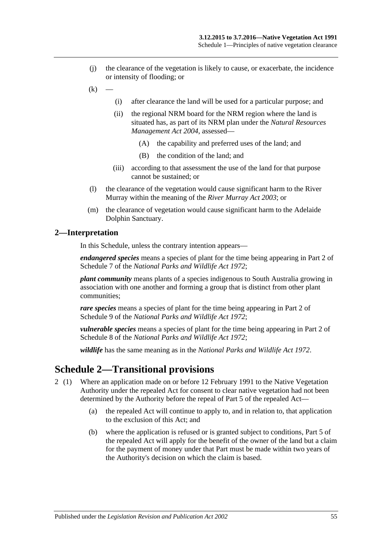- (j) the clearance of the vegetation is likely to cause, or exacerbate, the incidence or intensity of flooding; or
- $(k)$
- (i) after clearance the land will be used for a particular purpose; and
- (ii) the regional NRM board for the NRM region where the land is situated has, as part of its NRM plan under the *[Natural Resources](http://www.legislation.sa.gov.au/index.aspx?action=legref&type=act&legtitle=Natural%20Resources%20Management%20Act%202004)  [Management Act](http://www.legislation.sa.gov.au/index.aspx?action=legref&type=act&legtitle=Natural%20Resources%20Management%20Act%202004) 2004*, assessed—
	- (A) the capability and preferred uses of the land; and
	- (B) the condition of the land; and
- (iii) according to that assessment the use of the land for that purpose cannot be sustained; or
- (l) the clearance of the vegetation would cause significant harm to the River Murray within the meaning of the *[River Murray Act](http://www.legislation.sa.gov.au/index.aspx?action=legref&type=act&legtitle=River%20Murray%20Act%202003) 2003*; or
- (m) the clearance of vegetation would cause significant harm to the Adelaide Dolphin Sanctuary.

#### <span id="page-54-0"></span>**2—Interpretation**

In this Schedule, unless the contrary intention appears—

*endangered species* means a species of plant for the time being appearing in Part 2 of Schedule 7 of the *[National Parks and Wildlife Act](http://www.legislation.sa.gov.au/index.aspx?action=legref&type=act&legtitle=National%20Parks%20and%20Wildlife%20Act%201972) 1972*;

*plant community* means plants of a species indigenous to South Australia growing in association with one another and forming a group that is distinct from other plant communities;

*rare species* means a species of plant for the time being appearing in Part 2 of Schedule 9 of the *[National Parks and Wildlife Act](http://www.legislation.sa.gov.au/index.aspx?action=legref&type=act&legtitle=National%20Parks%20and%20Wildlife%20Act%201972) 1972*;

*vulnerable species* means a species of plant for the time being appearing in Part 2 of Schedule 8 of the *[National Parks and Wildlife Act](http://www.legislation.sa.gov.au/index.aspx?action=legref&type=act&legtitle=National%20Parks%20and%20Wildlife%20Act%201972) 1972*;

*wildlife* has the same meaning as in the *[National Parks and Wildlife Act](http://www.legislation.sa.gov.au/index.aspx?action=legref&type=act&legtitle=National%20Parks%20and%20Wildlife%20Act%201972) 1972*.

# <span id="page-54-1"></span>**Schedule 2—Transitional provisions**

- 2 (1) Where an application made on or before 12 February 1991 to the Native Vegetation Authority under the repealed Act for consent to clear native vegetation had not been determined by the Authority before the repeal of Part 5 of the repealed Act—
	- (a) the repealed Act will continue to apply to, and in relation to, that application to the exclusion of this Act; and
	- (b) where the application is refused or is granted subject to conditions, Part 5 of the repealed Act will apply for the benefit of the owner of the land but a claim for the payment of money under that Part must be made within two years of the Authority's decision on which the claim is based.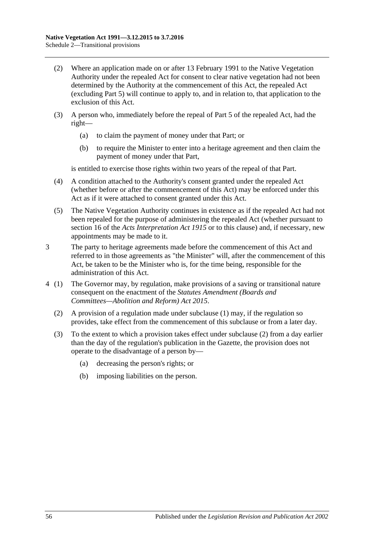- (2) Where an application made on or after 13 February 1991 to the Native Vegetation Authority under the repealed Act for consent to clear native vegetation had not been determined by the Authority at the commencement of this Act, the repealed Act (excluding Part 5) will continue to apply to, and in relation to, that application to the exclusion of this Act.
- (3) A person who, immediately before the repeal of Part 5 of the repealed Act, had the right—
	- (a) to claim the payment of money under that Part; or
	- (b) to require the Minister to enter into a heritage agreement and then claim the payment of money under that Part,

is entitled to exercise those rights within two years of the repeal of that Part.

- (4) A condition attached to the Authority's consent granted under the repealed Act (whether before or after the commencement of this Act) may be enforced under this Act as if it were attached to consent granted under this Act.
- (5) The Native Vegetation Authority continues in existence as if the repealed Act had not been repealed for the purpose of administering the repealed Act (whether pursuant to section 16 of the *[Acts Interpretation Act](http://www.legislation.sa.gov.au/index.aspx?action=legref&type=act&legtitle=Acts%20Interpretation%20Act%201915) 1915* or to this clause) and, if necessary, new appointments may be made to it.
- 3 The party to heritage agreements made before the commencement of this Act and referred to in those agreements as "the Minister" will, after the commencement of this Act, be taken to be the Minister who is, for the time being, responsible for the administration of this Act.
- <span id="page-55-0"></span>4 (1) The Governor may, by regulation, make provisions of a saving or transitional nature consequent on the enactment of the *[Statutes Amendment \(Boards and](http://www.legislation.sa.gov.au/index.aspx?action=legref&type=act&legtitle=Statutes%20Amendment%20(Boards%20and%20Committees%E2%80%94Abolition%20and%20Reform)%20Act%202015)  [Committees—Abolition and Reform\) Act](http://www.legislation.sa.gov.au/index.aspx?action=legref&type=act&legtitle=Statutes%20Amendment%20(Boards%20and%20Committees%E2%80%94Abolition%20and%20Reform)%20Act%202015) 2015*.
	- (2) A provision of a regulation made under subclause (1) may, if the regulation so provides, take effect from the commencement of this subclause or from a later day.
	- (3) To the extent to which a provision takes effect under [subclause](#page-55-0) (2) from a day earlier than the day of the regulation's publication in the Gazette, the provision does not operate to the disadvantage of a person by—
		- (a) decreasing the person's rights; or
		- (b) imposing liabilities on the person.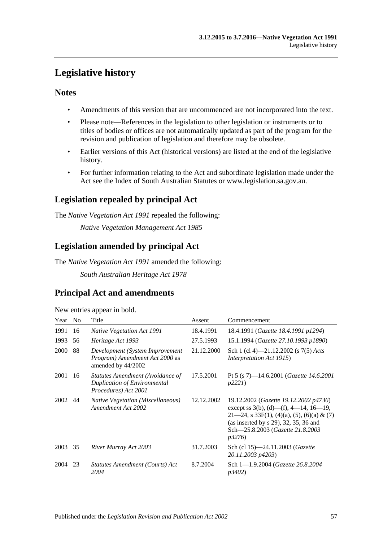# <span id="page-56-0"></span>**Legislative history**

## **Notes**

- Amendments of this version that are uncommenced are not incorporated into the text.
- Please note—References in the legislation to other legislation or instruments or to titles of bodies or offices are not automatically updated as part of the program for the revision and publication of legislation and therefore may be obsolete.
- Earlier versions of this Act (historical versions) are listed at the end of the legislative history.
- For further information relating to the Act and subordinate legislation made under the Act see the Index of South Australian Statutes or www.legislation.sa.gov.au.

# **Legislation repealed by principal Act**

The *Native Vegetation Act 1991* repealed the following:

*Native Vegetation Management Act 1985*

# **Legislation amended by principal Act**

The *Native Vegetation Act 1991* amended the following:

*South Australian Heritage Act 1978*

# **Principal Act and amendments**

New entries appear in bold.

| Year | N <sub>o</sub> | Title                                                                                    | Assent     | Commencement                                                                                                                                                                                                                        |
|------|----------------|------------------------------------------------------------------------------------------|------------|-------------------------------------------------------------------------------------------------------------------------------------------------------------------------------------------------------------------------------------|
| 1991 | 16             | <b>Native Vegetation Act 1991</b>                                                        | 18.4.1991  | 18.4.1991 (Gazette 18.4.1991 p1294)                                                                                                                                                                                                 |
| 1993 | 56             | Heritage Act 1993                                                                        | 27.5.1993  | 15.1.1994 (Gazette 27.10.1993 p1890)                                                                                                                                                                                                |
| 2000 | 88             | Development (System Improvement<br>Program) Amendment Act 2000 as<br>amended by 44/2002  | 21.12.2000 | Sch 1 (cl 4)—21.12.2002 (s $7(5)$ Acts<br><i>Interpretation Act 1915</i> )                                                                                                                                                          |
| 2001 | 16             | Statutes Amendment (Avoidance of<br>Duplication of Environmental<br>Procedures) Act 2001 | 17.5.2001  | Pt 5 (s 7)—14.6.2001 ( <i>Gazette 14.6.2001</i><br>p2221                                                                                                                                                                            |
| 2002 | 44             | <b>Native Vegetation (Miscellaneous)</b><br>Amendment Act 2002                           | 12.12.2002 | 19.12.2002 (Gazette 19.12.2002 p4736)<br>except ss $3(b)$ , (d)—(f), 4—14, 16—19,<br>$21-24$ , s 33F(1), (4)(a), (5), (6)(a) & (7)<br>(as inserted by $s$ 29), 32, 35, 36 and<br>Sch-25.8.2003 (Gazette 21.8.2003<br><i>p</i> 3276) |
| 2003 | 35             | River Murray Act 2003                                                                    | 31.7.2003  | Sch (cl 15)-24.11.2003 ( <i>Gazette</i><br>20.11.2003 p4203)                                                                                                                                                                        |
| 2004 | 23             | Statutes Amendment (Courts) Act<br>2004                                                  | 8.7.2004   | Sch 1-1.9.2004 (Gazette 26.8.2004)<br>p3402)                                                                                                                                                                                        |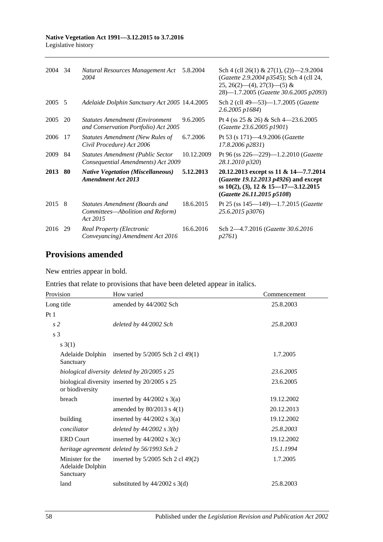| 2004    | -34 | Natural Resources Management Act<br>2004                                              | 5.8.2004   | Sch 4 (cll 26(1) & 27(1), (2) $-2.9.2004$<br>(Gazette 2.9.2004 p3545); Sch 4 (cll 24,<br>$25, 26(2)$ —(4), $27(3)$ —(5) &<br>28)-1.7.2005 (Gazette 30.6.2005 p2093) |
|---------|-----|---------------------------------------------------------------------------------------|------------|---------------------------------------------------------------------------------------------------------------------------------------------------------------------|
| 2005    | -5  | Adelaide Dolphin Sanctuary Act 2005 14.4.2005                                         |            | Sch 2 (cll 49-53)-1.7.2005 (Gazette<br>$2.6.2005$ $p1684$                                                                                                           |
| 2005    | 20  | <b>Statutes Amendment (Environment</b><br>and Conservation Portfolio) Act 2005        | 9.6.2005   | Pt 4 (ss $25 \& 26$ ) & Sch 4-23.6.2005<br>(Gazette 23.6.2005 p1901)                                                                                                |
| 2006    | 17  | Statutes Amendment (New Rules of<br>Civil Procedure) Act 2006                         | 6.7.2006   | Pt 53 (s 171)-4.9.2006 (Gazette<br>17.8.2006 p2831)                                                                                                                 |
| 2009    | 84  | <b>Statutes Amendment (Public Sector</b><br>Consequential Amendments) Act 2009        | 10.12.2009 | Pt 96 (ss $226 - 229$ )-1.2.2010 ( <i>Gazette</i><br>28.1.2010 p320)                                                                                                |
| 2013 80 |     | <b>Native Vegetation (Miscellaneous)</b><br><b>Amendment Act 2013</b>                 | 5.12.2013  | 20.12.2013 except ss 11 & 14–7.7.2014<br>(Gazette 19.12.2013 p4926) and except<br>ss $10(2)$ , (3), 12 & 15-17-3.12.2015<br>(Gazette 26.11.2015 p5108)              |
| 2015 8  |     | <b>Statutes Amendment (Boards and</b><br>Committees—Abolition and Reform)<br>Act 2015 | 18.6.2015  | Pt 25 (ss 145-149)-1.7.2015 (Gazette<br>25.6.2015 p3076)                                                                                                            |
| 2016    | -29 | <b>Real Property (Electronic</b><br>Conveyancing) Amendment Act 2016                  | 16.6.2016  | Sch 2-4.7.2016 (Gazette 30.6.2016)<br><i>p</i> 2761)                                                                                                                |

# **Provisions amended**

New entries appear in bold.

Entries that relate to provisions that have been deleted appear in italics.

| Provision                                         | How varied                                    | Commencement |
|---------------------------------------------------|-----------------------------------------------|--------------|
| Long title                                        | amended by 44/2002 Sch                        | 25.8.2003    |
| Pt <sub>1</sub>                                   |                                               |              |
| s <sub>2</sub>                                    | deleted by 44/2002 Sch                        | 25.8.2003    |
| s 3                                               |                                               |              |
| $s \; 3(1)$                                       |                                               |              |
| Adelaide Dolphin<br>Sanctuary                     | inserted by $5/2005$ Sch 2 cl 49(1)           | 1.7.2005     |
|                                                   | biological diversity deleted by 20/2005 s 25  | 23.6.2005    |
| or biodiversity                                   | biological diversity inserted by 20/2005 s 25 | 23.6.2005    |
| breach                                            | inserted by $44/2002$ s $3(a)$                | 19.12.2002   |
|                                                   | amended by $80/2013$ s $4(1)$                 | 20.12.2013   |
| building                                          | inserted by $44/2002$ s $3(a)$                | 19.12.2002   |
| conciliator                                       | deleted by $44/2002$ s $3(b)$                 | 25.8.2003    |
| <b>ERD Court</b>                                  | inserted by $44/2002$ s 3(c)                  | 19.12.2002   |
|                                                   | heritage agreement deleted by 56/1993 Sch 2   | 15.1.1994    |
| Minister for the<br>Adelaide Dolphin<br>Sanctuary | inserted by 5/2005 Sch 2 cl 49(2)             | 1.7.2005     |
| land                                              | substituted by $44/2002$ s 3(d)               | 25.8.2003    |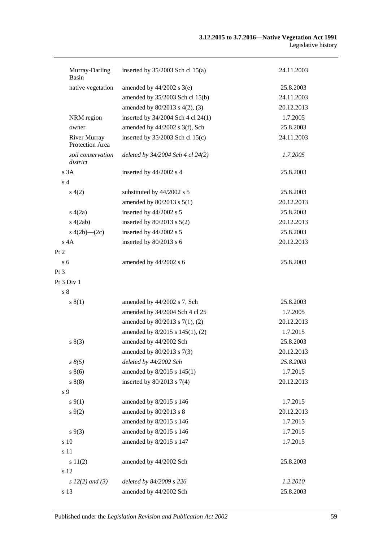| Murray-Darling<br>Basin                | inserted by $35/2003$ Sch cl 15(a) | 24.11.2003 |
|----------------------------------------|------------------------------------|------------|
| native vegetation                      | amended by $44/2002$ s $3(e)$      | 25.8.2003  |
|                                        | amended by 35/2003 Sch cl 15(b)    | 24.11.2003 |
|                                        | amended by 80/2013 s 4(2), (3)     | 20.12.2013 |
| NRM region                             | inserted by 34/2004 Sch 4 cl 24(1) | 1.7.2005   |
| owner                                  | amended by 44/2002 s 3(f), Sch     | 25.8.2003  |
| <b>River Murray</b><br>Protection Area | inserted by $35/2003$ Sch cl 15(c) | 24.11.2003 |
| soil conservation<br>district          | deleted by 34/2004 Sch 4 cl 24(2)  | 1.7.2005   |
| s 3A                                   | inserted by 44/2002 s 4            | 25.8.2003  |
| s <sub>4</sub>                         |                                    |            |
| s(4(2)                                 | substituted by 44/2002 s 5         | 25.8.2003  |
|                                        | amended by $80/2013$ s $5(1)$      | 20.12.2013 |
| s(4(2a))                               | inserted by 44/2002 s 5            | 25.8.2003  |
| s(4(2ab)                               | inserted by $80/2013$ s $5(2)$     | 20.12.2013 |
| s $4(2b)$ — $(2c)$                     | inserted by 44/2002 s 5            | 25.8.2003  |
| $s$ 4A                                 | inserted by 80/2013 s 6            | 20.12.2013 |
| Pt 2                                   |                                    |            |
| s <sub>6</sub>                         | amended by 44/2002 s 6             | 25.8.2003  |
| Pt 3                                   |                                    |            |
| Pt 3 Div 1                             |                                    |            |
| $\sqrt{s}$ 8                           |                                    |            |
| s(1)                                   | amended by 44/2002 s 7, Sch        | 25.8.2003  |
|                                        | amended by 34/2004 Sch 4 cl 25     | 1.7.2005   |
|                                        | amended by 80/2013 s 7(1), (2)     | 20.12.2013 |
|                                        | amended by 8/2015 s 145(1), (2)    | 1.7.2015   |
| s(3)                                   | amended by 44/2002 Sch             | 25.8.2003  |
|                                        | amended by 80/2013 s 7(3)          | 20.12.2013 |
| $s \, 8(5)$                            | deleted by 44/2002 Sch             | 25.8.2003  |
| s 8(6)                                 | amended by 8/2015 s 145(1)         | 1.7.2015   |
| s 8(8)                                 | inserted by $80/2013$ s $7(4)$     | 20.12.2013 |
| s 9                                    |                                    |            |
| $s \, 9(1)$                            | amended by 8/2015 s 146            | 1.7.2015   |
| $s \, 9(2)$                            | amended by 80/2013 s 8             | 20.12.2013 |
|                                        | amended by 8/2015 s 146            | 1.7.2015   |
| $s \, 9(3)$                            | amended by 8/2015 s 146            | 1.7.2015   |
| s 10                                   | amended by 8/2015 s 147            | 1.7.2015   |
| s 11                                   |                                    |            |
| s 11(2)                                | amended by 44/2002 Sch             | 25.8.2003  |
| s 12                                   |                                    |            |
| s $12(2)$ and $(3)$                    | deleted by 84/2009 s 226           | 1.2.2010   |
| s 13                                   | amended by 44/2002 Sch             | 25.8.2003  |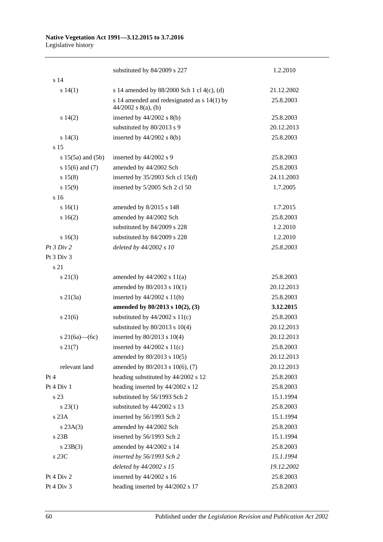#### **Native Vegetation Act 1991—3.12.2015 to 3.7.2016** Legislative history

|                       | substituted by 84/2009 s 227                                           | 1.2.2010   |
|-----------------------|------------------------------------------------------------------------|------------|
| s <sub>14</sub>       |                                                                        |            |
| s 14(1)               | s 14 amended by $88/2000$ Sch 1 cl 4(c), (d)                           | 21.12.2002 |
|                       | s 14 amended and redesignated as $s$ 14(1) by<br>$44/2002$ s 8(a), (b) | 25.8.2003  |
| s 14(2)               | inserted by $44/2002$ s $8(b)$                                         | 25.8.2003  |
|                       | substituted by 80/2013 s 9                                             | 20.12.2013 |
| s 14(3)               | inserted by $44/2002$ s $8(b)$                                         | 25.8.2003  |
| s 15                  |                                                                        |            |
| s $15(5a)$ and $(5b)$ | inserted by 44/2002 s 9                                                | 25.8.2003  |
| s $15(6)$ and $(7)$   | amended by 44/2002 Sch                                                 | 25.8.2003  |
| s 15(8)               | inserted by $35/2003$ Sch cl 15(d)                                     | 24.11.2003 |
| s 15(9)               | inserted by 5/2005 Sch 2 cl 50                                         | 1.7.2005   |
| s 16                  |                                                                        |            |
| s 16(1)               | amended by 8/2015 s 148                                                | 1.7.2015   |
| s 16(2)               | amended by 44/2002 Sch                                                 | 25.8.2003  |
|                       | substituted by 84/2009 s 228                                           | 1.2.2010   |
| s16(3)                | substituted by 84/2009 s 228                                           | 1.2.2010   |
| Pt 3 Div 2            | deleted by 44/2002 s 10                                                | 25.8.2003  |
| Pt 3 Div 3            |                                                                        |            |
| s 21                  |                                                                        |            |
| $s\ 21(3)$            | amended by $44/2002$ s $11(a)$                                         | 25.8.2003  |
|                       | amended by $80/2013$ s $10(1)$                                         | 20.12.2013 |
| s21(3a)               | inserted by $44/2002$ s $11(b)$                                        | 25.8.2003  |
|                       | amended by 80/2013 s 10(2), (3)                                        | 3.12.2015  |
| $s \, 21(6)$          | substituted by $44/2002$ s $11(c)$                                     | 25.8.2003  |
|                       | substituted by $80/2013$ s $10(4)$                                     | 20.12.2013 |
| s 21(6a)—(6c)         | inserted by 80/2013 s 10(4)                                            | 20.12.2013 |
| $s \, 21(7)$          | inserted by $44/2002$ s $11(c)$                                        | 25.8.2003  |
|                       | amended by 80/2013 s 10(5)                                             | 20.12.2013 |
| relevant land         | amended by 80/2013 s 10(6), (7)                                        | 20.12.2013 |
| Pt 4                  | heading substituted by 44/2002 s 12                                    | 25.8.2003  |
| Pt 4 Div 1            | heading inserted by 44/2002 s 12                                       | 25.8.2003  |
| s 23                  | substituted by 56/1993 Sch 2                                           | 15.1.1994  |
| $s\,23(1)$            | substituted by 44/2002 s 13                                            | 25.8.2003  |
| s23A                  | inserted by 56/1993 Sch 2                                              | 15.1.1994  |
| s 23A(3)              | amended by 44/2002 Sch                                                 | 25.8.2003  |
| $s$ 23 $B$            | inserted by 56/1993 Sch 2                                              | 15.1.1994  |
| $s\ 23B(3)$           | amended by 44/2002 s 14                                                | 25.8.2003  |
| $s$ 23 $C$            | inserted by 56/1993 Sch 2                                              | 15.1.1994  |
|                       | deleted by 44/2002 s 15                                                | 19.12.2002 |
| Pt 4 Div 2            | inserted by 44/2002 s 16                                               | 25.8.2003  |
| Pt 4 Div 3            | heading inserted by 44/2002 s 17                                       | 25.8.2003  |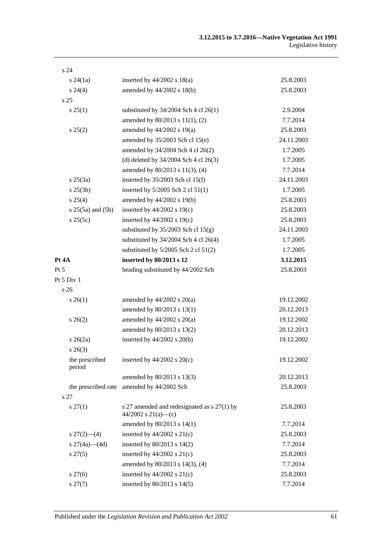| s <sub>24</sub>           |                                                                      |            |
|---------------------------|----------------------------------------------------------------------|------------|
| $s\,24(1a)$               | inserted by $44/2002$ s $18(a)$                                      | 25.8.2003  |
| $s\,24(4)$                | amended by 44/2002 s 18(b)                                           | 25.8.2003  |
| s <sub>25</sub>           |                                                                      |            |
| $s \, 25(1)$              | substituted by $34/2004$ Sch 4 cl 26(1)                              | 2.9.2004   |
|                           | amended by 80/2013 s 11(1), (2)                                      | 7.7.2014   |
| s 25(2)                   | amended by $44/2002$ s 19(a)                                         | 25.8.2003  |
|                           | amended by $35/2003$ Sch cl $15(e)$                                  | 24.11.2003 |
|                           | amended by 34/2004 Sch 4 cl 26(2)                                    | 1.7.2005   |
|                           | (d) deleted by $34/2004$ Sch 4 cl $26(3)$                            | 1.7.2005   |
|                           | amended by 80/2013 s 11(3), (4)                                      | 7.7.2014   |
| $s \, 25(3a)$             | inserted by $35/2003$ Sch cl 15(f)                                   | 24.11.2003 |
| $s \, 25(3b)$             | inserted by $5/2005$ Sch 2 cl $51(1)$                                | 1.7.2005   |
| s 25(4)                   | amended by 44/2002 s 19(b)                                           | 25.8.2003  |
| $s 25(5a)$ and $(5b)$     | inserted by $44/2002$ s 19(c)                                        | 25.8.2003  |
| s 25(5c)                  | inserted by $44/2002$ s 19(c)                                        | 25.8.2003  |
|                           | substituted by $35/2003$ Sch cl $15(g)$                              | 24.11.2003 |
|                           | substituted by $34/2004$ Sch 4 cl 26(4)                              | 1.7.2005   |
|                           | substituted by $5/2005$ Sch 2 cl $51(2)$                             | 1.7.2005   |
| Pt 4A                     | inserted by 80/2013 s 12                                             | 3.12.2015  |
| Pt 5                      | heading substituted by 44/2002 Sch                                   | 25.8.2003  |
| Pt 5 Div 1                |                                                                      |            |
| s26                       |                                                                      |            |
| $s \, 26(1)$              | amended by $44/2002$ s $20(a)$                                       | 19.12.2002 |
|                           | amended by 80/2013 s 13(1)                                           | 20.12.2013 |
| $s \, 26(2)$              | amended by $44/2002$ s $20(a)$                                       | 19.12.2002 |
|                           | amended by 80/2013 s 13(2)                                           | 20.12.2013 |
| $s \; 26(2a)$             | inserted by $44/2002$ s $20(b)$                                      | 19.12.2002 |
| $s\,26(3)$                |                                                                      |            |
| the prescribed<br>period  | inserted by $44/2002$ s $20(c)$                                      | 19.12.2002 |
|                           | amended by 80/2013 s 13(3)                                           | 20.12.2013 |
| the prescribed rate       | amended by 44/2002 Sch                                               | 25.8.2003  |
| s 27                      |                                                                      |            |
| $s \, 27(1)$              | s 27 amended and redesignated as $s$ 27(1) by<br>44/2002 s 21(a)-(c) | 25.8.2003  |
|                           | amended by 80/2013 s 14(1)                                           | 7.7.2014   |
| $s \frac{27(2) - (4)}{ }$ | inserted by $44/2002$ s $21(c)$                                      | 25.8.2003  |
| s $27(4a)$ (4d)           | inserted by 80/2013 s 14(2)                                          | 7.7.2014   |
| $s\,27(5)$                | inserted by $44/2002$ s $21(c)$                                      | 25.8.2003  |
|                           | amended by 80/2013 s 14(3), (4)                                      | 7.7.2014   |
| $s\,27(6)$                | inserted by $44/2002$ s $21(c)$                                      | 25.8.2003  |
| $s\,27(7)$                | inserted by 80/2013 s 14(5)                                          | 7.7.2014   |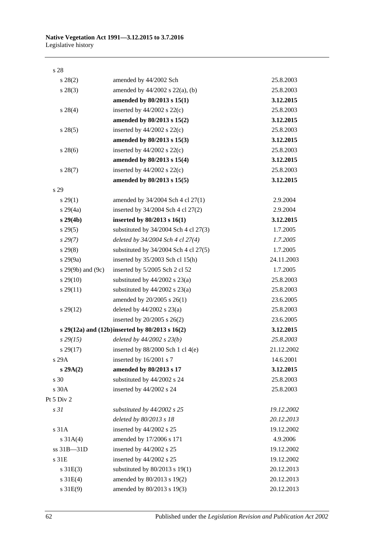#### s 28

| $s\,28(2)$            | amended by 44/2002 Sch                           | 25.8.2003  |
|-----------------------|--------------------------------------------------|------------|
| $s\,28(3)$            | amended by $44/2002$ s $22(a)$ , (b)             | 25.8.2003  |
|                       | amended by 80/2013 s 15(1)                       | 3.12.2015  |
| $s\,28(4)$            | inserted by $44/2002$ s $22(c)$                  | 25.8.2003  |
|                       | amended by 80/2013 s 15(2)                       | 3.12.2015  |
| $s\,28(5)$            | inserted by $44/2002$ s $22(c)$                  | 25.8.2003  |
|                       | amended by 80/2013 s 15(3)                       | 3.12.2015  |
| $s\,28(6)$            | inserted by $44/2002$ s $22(c)$                  | 25.8.2003  |
|                       | amended by 80/2013 s 15(4)                       | 3.12.2015  |
| $s\,28(7)$            | inserted by $44/2002$ s $22(c)$                  | 25.8.2003  |
|                       | amended by 80/2013 s 15(5)                       | 3.12.2015  |
| s 29                  |                                                  |            |
| $s\,29(1)$            | amended by 34/2004 Sch 4 cl 27(1)                | 2.9.2004   |
| $s\,29(4a)$           | inserted by 34/2004 Sch 4 cl 27(2)               | 2.9.2004   |
| $s\,29(4b)$           | inserted by $80/2013$ s $16(1)$                  | 3.12.2015  |
| $s\,29(5)$            | substituted by $34/2004$ Sch 4 cl $27(3)$        | 1.7.2005   |
| $s\,29(7)$            | deleted by 34/2004 Sch 4 cl 27(4)                | 1.7.2005   |
| $s\,29(8)$            | substituted by $34/2004$ Sch 4 cl $27(5)$        | 1.7.2005   |
| $s\,29(9a)$           | inserted by $35/2003$ Sch cl 15(h)               | 24.11.2003 |
| s $29(9b)$ and $(9c)$ | inserted by 5/2005 Sch 2 cl 52                   | 1.7.2005   |
| $s\,29(10)$           | substituted by $44/2002$ s $23(a)$               | 25.8.2003  |
| $s\,29(11)$           | substituted by $44/2002$ s $23(a)$               | 25.8.2003  |
|                       | amended by 20/2005 s 26(1)                       | 23.6.2005  |
| $s\,29(12)$           | deleted by $44/2002$ s $23(a)$                   | 25.8.2003  |
|                       | inserted by $20/2005$ s $26(2)$                  | 23.6.2005  |
|                       | s 29(12a) and (12b)inserted by $80/2013$ s 16(2) | 3.12.2015  |
| $s\,29(15)$           | deleted by $44/2002$ s $23(b)$                   | 25.8.2003  |
| $s\,29(17)$           | inserted by $88/2000$ Sch 1 cl 4(e)              | 21.12.2002 |
| s 29A                 | inserted by 16/2001 s 7                          | 14.6.2001  |
| s 29A(2)              | amended by 80/2013 s 17                          | 3.12.2015  |
| s 30                  | substituted by 44/2002 s 24                      | 25.8.2003  |
| s 30A                 | inserted by 44/2002 s 24                         | 25.8.2003  |
| Pt 5 Div 2            |                                                  |            |
| s <sub>31</sub>       | substituted by 44/2002 s 25                      | 19.12.2002 |
|                       | deleted by 80/2013 s 18                          | 20.12.2013 |
| s 31A                 | inserted by 44/2002 s 25                         | 19.12.2002 |
| $s \, 31A(4)$         | amended by 17/2006 s 171                         | 4.9.2006   |
| ss 31B-31D            | inserted by 44/2002 s 25                         | 19.12.2002 |
| s 31E                 | inserted by 44/2002 s 25                         | 19.12.2002 |
| $s \, 31E(3)$         | substituted by $80/2013$ s 19(1)                 | 20.12.2013 |
| $s \, 31E(4)$         | amended by 80/2013 s 19(2)                       | 20.12.2013 |
| $s \, 31E(9)$         | amended by 80/2013 s 19(3)                       | 20.12.2013 |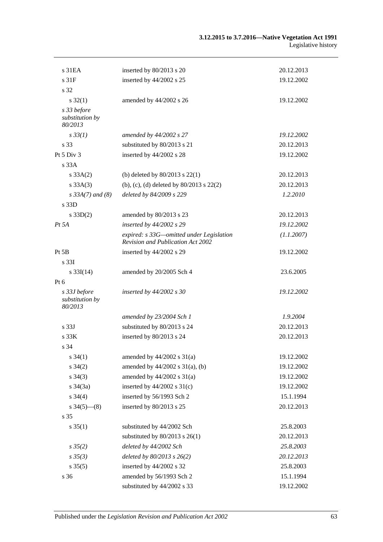| s <sub>31EA</sub>                          | inserted by 80/2013 s 20                                                      | 20.12.2013 |
|--------------------------------------------|-------------------------------------------------------------------------------|------------|
| s <sub>31F</sub>                           | inserted by 44/2002 s 25                                                      | 19.12.2002 |
| s 32                                       |                                                                               |            |
| $s \, 32(1)$                               | amended by 44/2002 s 26                                                       | 19.12.2002 |
| s 33 before<br>substitution by<br>80/2013  |                                                                               |            |
| $s \, 33(1)$                               | amended by 44/2002 s 27                                                       | 19.12.2002 |
| s 33                                       | substituted by 80/2013 s 21                                                   | 20.12.2013 |
| Pt $5$ Div $3$                             | inserted by 44/2002 s 28                                                      | 19.12.2002 |
| s 33A                                      |                                                                               |            |
| $s \, 33A(2)$                              | (b) deleted by $80/2013$ s $22(1)$                                            | 20.12.2013 |
| s 33A(3)                                   | (b), (c), (d) deleted by $80/2013$ s $22(2)$                                  | 20.12.2013 |
| $s 33A(7)$ and (8)                         | deleted by 84/2009 s 229                                                      | 1.2.2010   |
| s 33D                                      |                                                                               |            |
| $s \, 33D(2)$                              | amended by 80/2013 s 23                                                       | 20.12.2013 |
| $Pt\,5A$                                   | inserted by 44/2002 s 29                                                      | 19.12.2002 |
|                                            | expired: s 33G—omitted under Legislation<br>Revision and Publication Act 2002 | (1.1.2007) |
| Pt 5B                                      | inserted by 44/2002 s 29                                                      | 19.12.2002 |
| s 33I                                      |                                                                               |            |
| $s \, 33I(14)$                             | amended by 20/2005 Sch 4                                                      | 23.6.2005  |
| Pt 6                                       |                                                                               |            |
| s 33J before<br>substitution by<br>80/2013 | inserted by $44/2002$ s 30                                                    | 19.12.2002 |
|                                            | amended by 23/2004 Sch 1                                                      | 1.9.2004   |
| s <sub>33J</sub>                           | substituted by 80/2013 s 24                                                   | 20.12.2013 |
| s 33K                                      | inserted by 80/2013 s 24                                                      | 20.12.2013 |
| s 34                                       |                                                                               |            |
| $s \, 34(1)$                               | amended by $44/2002$ s $31(a)$                                                | 19.12.2002 |
| $s \, 34(2)$                               | amended by $44/2002$ s $31(a)$ , (b)                                          | 19.12.2002 |
| $s \; 34(3)$                               | amended by $44/2002$ s $31(a)$                                                | 19.12.2002 |
| $s \frac{34(3a)}{2}$                       | inserted by $44/2002$ s $31(c)$                                               | 19.12.2002 |
| $s \; 34(4)$                               | inserted by 56/1993 Sch 2                                                     | 15.1.1994  |
| $s\,34(5)$ (8)                             | inserted by 80/2013 s 25                                                      | 20.12.2013 |
| s 35                                       |                                                                               |            |
| $s \, 35(1)$                               | substituted by 44/2002 Sch                                                    | 25.8.2003  |
|                                            | substituted by $80/2013$ s $26(1)$                                            | 20.12.2013 |
| $s \, 35(2)$                               | deleted by 44/2002 Sch                                                        | 25.8.2003  |
| $s \, 35(3)$                               | deleted by $80/2013$ s $26(2)$                                                | 20.12.2013 |
| $s \, 35(5)$                               | inserted by 44/2002 s 32                                                      | 25.8.2003  |
| s 36                                       | amended by 56/1993 Sch 2                                                      | 15.1.1994  |
|                                            | substituted by 44/2002 s 33                                                   | 19.12.2002 |